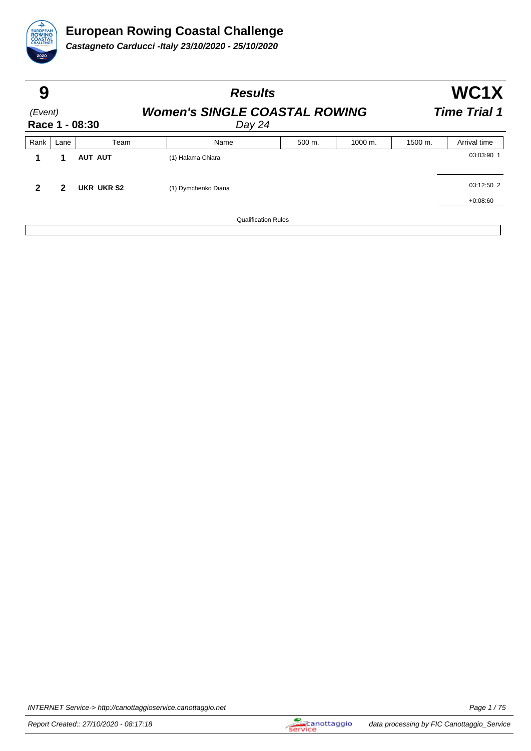

| 9                         |      |                | <b>Results</b>                                 | WC1X<br><b>Time Trial 1</b> |                    |         |              |
|---------------------------|------|----------------|------------------------------------------------|-----------------------------|--------------------|---------|--------------|
| (Event)<br>Race 1 - 08:30 |      |                | <b>Women's SINGLE COASTAL ROWING</b><br>Day 24 |                             |                    |         |              |
| Rank                      | Lane | Team           | Name                                           | 500 m.                      | $1000 \text{ m}$ . | 1500 m. | Arrival time |
|                           | 1    | <b>AUT AUT</b> | (1) Halama Chiara                              |                             |                    |         | 03:03:90 1   |
| $\overline{2}$            | 2    | UKR UKR S2     | (1) Dymchenko Diana                            |                             |                    |         | 03:12:50 2   |
|                           |      |                |                                                |                             |                    |         | $+0:08:60$   |
|                           |      |                | <b>Qualification Rules</b>                     |                             |                    |         |              |

INTERNET Service-> http://canottaggioservice.canottaggio.net Page 1 / 75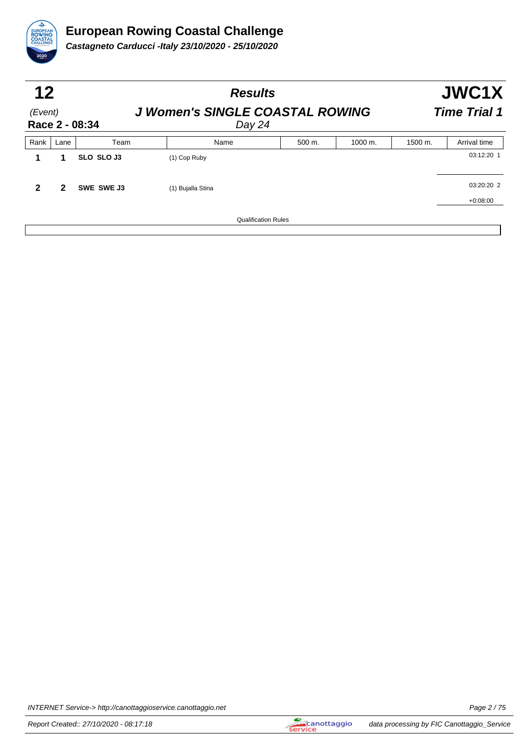

| 12<br>(Event)<br>Race 2 - 08:34 |      |                   | <b>Results</b><br><b>J Women's SINGLE COASTAL ROWING</b><br>Day $24$ |        | JWC1X<br><b>Time Trial 1</b> |         |              |
|---------------------------------|------|-------------------|----------------------------------------------------------------------|--------|------------------------------|---------|--------------|
| Rank                            | Lane | Team              | Name                                                                 | 500 m. | 1000 m.                      | 1500 m. | Arrival time |
|                                 | 1    | <b>SLO SLO J3</b> | (1) Cop Ruby                                                         |        |                              |         | 03:12:20 1   |
| 2                               | 2    | SWE SWE J3        | (1) Bujalla Stina                                                    |        |                              |         | 03:20:20 2   |
|                                 |      |                   |                                                                      |        |                              |         | $+0:08:00$   |
|                                 |      |                   | <b>Qualification Rules</b>                                           |        |                              |         |              |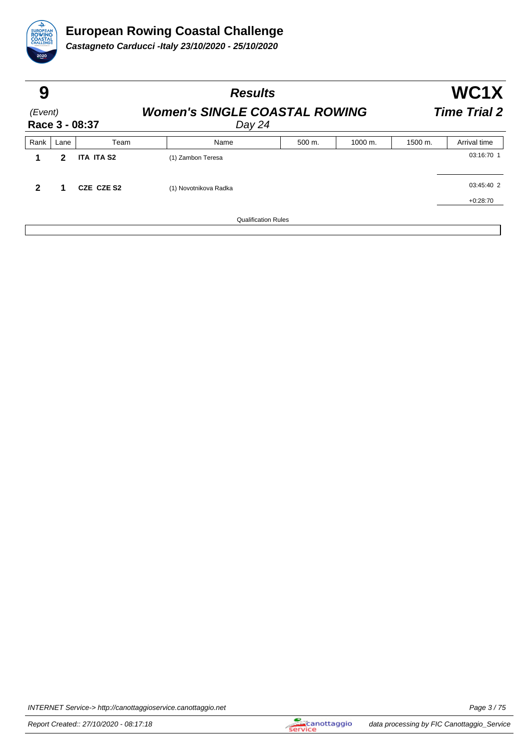

| 9                         |      |                   | <b>Results</b>                                 | WC1X                       |         |         |              |
|---------------------------|------|-------------------|------------------------------------------------|----------------------------|---------|---------|--------------|
| (Event)<br>Race 3 - 08:37 |      |                   | <b>Women's SINGLE COASTAL ROWING</b><br>Day 24 | <b>Time Trial 2</b>        |         |         |              |
| Rank                      | Lane | Team              | Name                                           | 500 m.                     | 1000 m. | 1500 m. | Arrival time |
|                           | 2    | <b>ITA ITA S2</b> | (1) Zambon Teresa                              |                            |         |         | 03:16:70 1   |
| $\overline{2}$            | 1    | CZE CZE S2        | (1) Novotnikova Radka                          |                            |         |         | 03:45:40 2   |
|                           |      |                   |                                                |                            |         |         | $+0:28:70$   |
|                           |      |                   |                                                | <b>Qualification Rules</b> |         |         |              |
|                           |      |                   |                                                |                            |         |         |              |

INTERNET Service-> http://canottaggioservice.canottaggio.net **Page 3/75**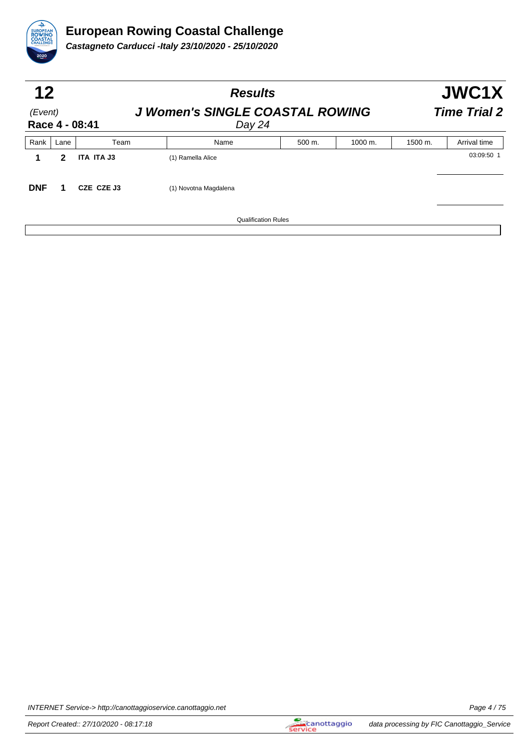

| 12<br>(Event)<br>Race 4 - 08:41 |      |            | <b>Results</b><br><b>J Women's SINGLE COASTAL ROWING</b><br>Day 24 |        |         |         |              |  |
|---------------------------------|------|------------|--------------------------------------------------------------------|--------|---------|---------|--------------|--|
| Rank                            | Lane | Team       | Name                                                               | 500 m. | 1000 m. | 1500 m. | Arrival time |  |
|                                 | 2    | ITA ITA J3 | (1) Ramella Alice                                                  |        |         |         | 03:09:50 1   |  |
| <b>DNF</b>                      |      | CZE CZE J3 | (1) Novotna Magdalena                                              |        |         |         |              |  |
|                                 |      |            | <b>Qualification Rules</b>                                         |        |         |         |              |  |

INTERNET Service-> http://canottaggioservice.canottaggio.net Page 4 / 75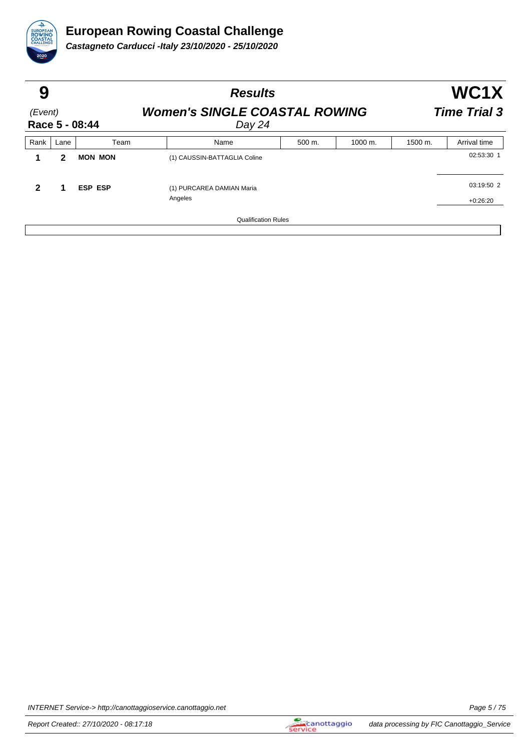

| 9                         |              |                | <b>Results</b>                                 | WC1X                       |         |         |              |
|---------------------------|--------------|----------------|------------------------------------------------|----------------------------|---------|---------|--------------|
| (Event)<br>Race 5 - 08:44 |              |                | <b>Women's SINGLE COASTAL ROWING</b><br>Day 24 | <b>Time Trial 3</b>        |         |         |              |
| Rank                      | Lane         | Team           | Name                                           | 500 m.                     | 1000 m. | 1500 m. | Arrival time |
|                           | $\mathbf{2}$ | <b>MON MON</b> | (1) CAUSSIN-BATTAGLIA Coline                   |                            |         |         | 02:53:30 1   |
| 2                         | 1            | <b>ESP ESP</b> | (1) PURCAREA DAMIAN Maria<br>Angeles           |                            |         |         | 03:19:50 2   |
|                           |              |                |                                                | <b>Qualification Rules</b> |         |         | $+0:26:20$   |

INTERNET Service-> http://canottaggioservice.canottaggio.net Page 5 / 75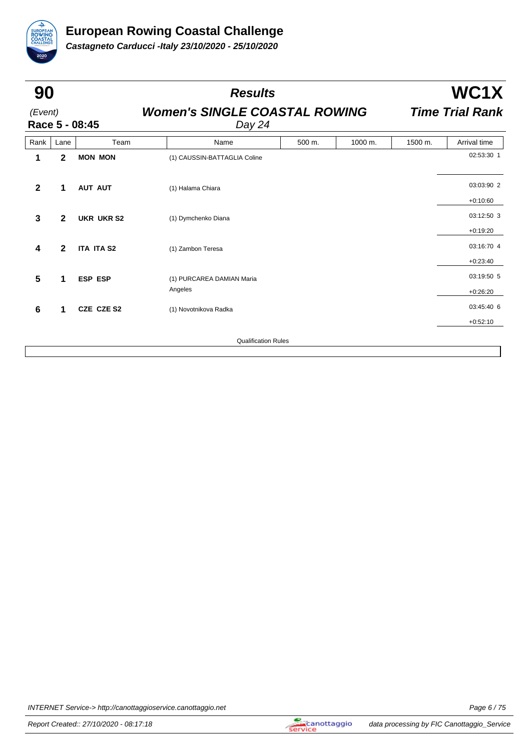

| Race 5 - 08:45<br>Team<br><b>MON MON</b> | <b>Women's SINGLE COASTAL ROWING</b><br>Day 24<br>Name<br>(1) CAUSSIN-BATTAGLIA Coline | 500 m. | 1000 m.                    | 1500 m. | <b>Time Trial Rank</b> |
|------------------------------------------|----------------------------------------------------------------------------------------|--------|----------------------------|---------|------------------------|
|                                          |                                                                                        |        |                            |         |                        |
|                                          |                                                                                        |        |                            |         | Arrival time           |
|                                          |                                                                                        |        |                            |         | 02:53:30 1             |
| <b>AUT AUT</b>                           | (1) Halama Chiara                                                                      |        |                            |         | 03:03:90 2             |
|                                          |                                                                                        |        |                            |         | $+0:10:60$             |
| <b>UKR UKR S2</b>                        | (1) Dymchenko Diana                                                                    |        |                            |         | 03:12:50 3             |
|                                          |                                                                                        |        |                            |         | $+0:19:20$             |
| <b>ITA ITA S2</b>                        | (1) Zambon Teresa                                                                      |        |                            |         | 03:16:70 4             |
|                                          |                                                                                        |        |                            |         | $+0:23:40$             |
| <b>ESP ESP</b>                           | (1) PURCAREA DAMIAN Maria                                                              |        |                            |         | 03:19:50 5             |
|                                          | Angeles                                                                                |        |                            |         | $+0:26:20$             |
| CZE CZE S2                               | (1) Novotnikova Radka                                                                  |        |                            |         | 03:45:40 6             |
|                                          |                                                                                        |        |                            |         | $+0:52:10$             |
|                                          |                                                                                        |        |                            |         |                        |
|                                          |                                                                                        |        | <b>Qualification Rules</b> |         |                        |

INTERNET Service-> http://canottaggioservice.canottaggio.net Page 6 / 75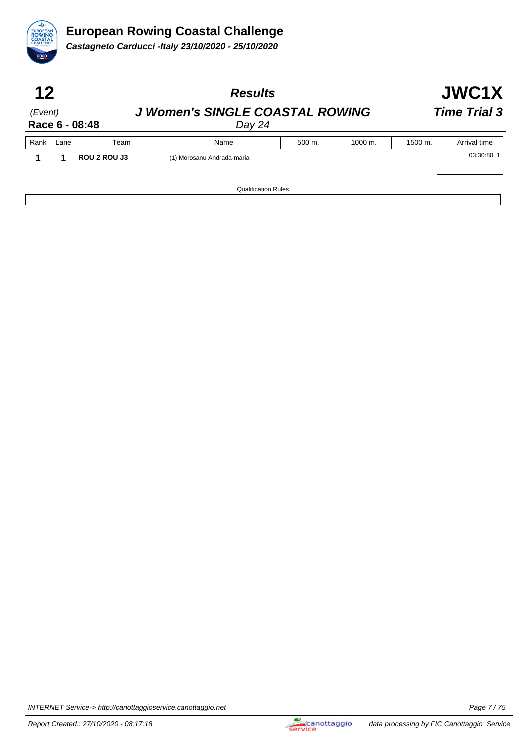

| 12<br>(Event)<br>Race 6 - 08:48 |      |              | <b>Results</b>                                   |                     |         |         |              |  |  |
|---------------------------------|------|--------------|--------------------------------------------------|---------------------|---------|---------|--------------|--|--|
|                                 |      |              | <b>J Women's SINGLE COASTAL ROWING</b><br>Day 24 | <b>Time Trial 3</b> |         |         |              |  |  |
| Rank                            | Lane | Team         | Name                                             | 500 m.              | 1000 m. | 1500 m. | Arrival time |  |  |
|                                 |      | ROU 2 ROU J3 | (1) Morosanu Andrada-maria                       |                     |         |         | 03:30:80 1   |  |  |
|                                 |      |              | <b>Qualification Rules</b>                       |                     |         |         |              |  |  |

INTERNET Service-> http://canottaggioservice.canottaggio.net Page 7 / 75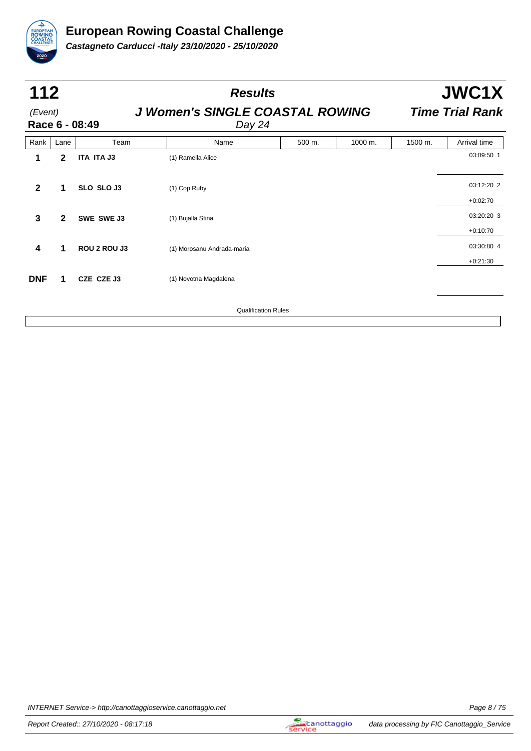

| 112<br>(Event) |              | Race 6 - 08:49 | <b>Results</b><br><b>J Women's SINGLE COASTAL ROWING</b><br>Day 24 |        |         |         | JWC1X<br><b>Time Trial Rank</b> |  |  |
|----------------|--------------|----------------|--------------------------------------------------------------------|--------|---------|---------|---------------------------------|--|--|
| Rank           | Lane         | Team           | Name                                                               | 500 m. | 1000 m. | 1500 m. | Arrival time                    |  |  |
| 1              | $\mathbf{2}$ | ITA ITA J3     | (1) Ramella Alice                                                  |        |         |         | 03:09:50 1                      |  |  |
| $\mathbf{2}$   | 1            | SLO SLO J3     | (1) Cop Ruby                                                       |        |         |         | 03:12:20 2                      |  |  |
| 3              | $\mathbf{2}$ | SWE SWE J3     | (1) Bujalla Stina                                                  |        |         |         | $+0:02:70$<br>03:20:20 3        |  |  |
| 4              | 1            | ROU 2 ROU J3   | (1) Morosanu Andrada-maria                                         |        |         |         | $+0:10:70$<br>03:30:80 4        |  |  |
| <b>DNF</b>     | 1            | CZE CZE J3     | (1) Novotna Magdalena                                              |        |         |         | $+0:21:30$                      |  |  |
|                |              |                | <b>Qualification Rules</b>                                         |        |         |         |                                 |  |  |

INTERNET Service-> http://canottaggioservice.canottaggio.net Page 8 / 75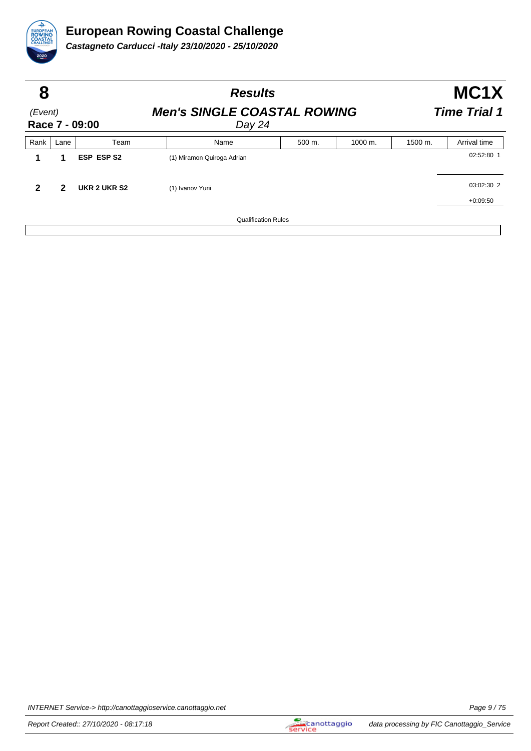

| 8                         |      |                   | <b>Results</b>                               | MC <sub>1</sub> X<br><b>Time Trial 1</b> |         |         |              |
|---------------------------|------|-------------------|----------------------------------------------|------------------------------------------|---------|---------|--------------|
| (Event)<br>Race 7 - 09:00 |      |                   | <b>Men's SINGLE COASTAL ROWING</b><br>Day 24 |                                          |         |         |              |
| Rank                      | Lane | Team              | Name                                         | 500 m.                                   | 1000 m. | 1500 m. | Arrival time |
|                           | 1    | <b>ESP ESP S2</b> | (1) Miramon Quiroga Adrian                   |                                          |         |         | 02:52:80 1   |
| $\mathbf{2}$              | 2    | UKR 2 UKR S2      | (1) Ivanov Yurii                             |                                          |         |         | 03:02:30 2   |
|                           |      |                   |                                              |                                          |         |         | $+0:09:50$   |
|                           |      |                   | <b>Qualification Rules</b>                   |                                          |         |         |              |

INTERNET Service-> http://canottaggioservice.canottaggio.net Page 9/75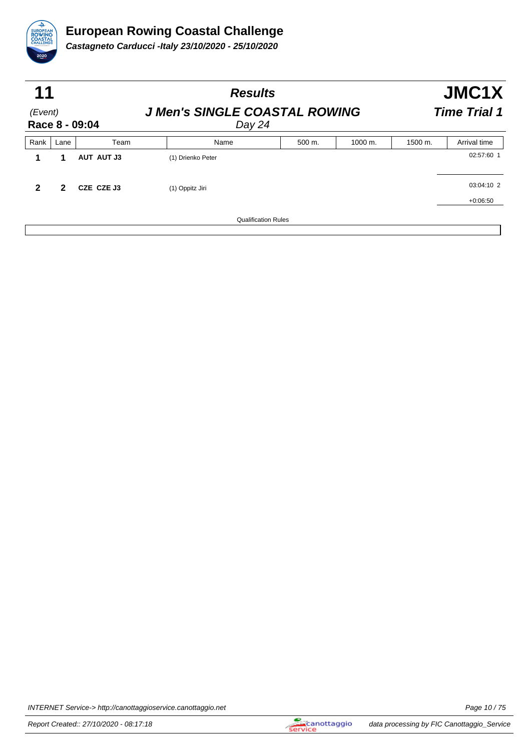

|                           | 11   |                   | <b>Results</b>                                 | JMC1X<br><b>Time Trial 1</b> |         |         |              |
|---------------------------|------|-------------------|------------------------------------------------|------------------------------|---------|---------|--------------|
| (Event)<br>Race 8 - 09:04 |      |                   | <b>J Men's SINGLE COASTAL ROWING</b><br>Day 24 |                              |         |         |              |
| Rank                      | Lane | Team              | Name                                           | 500 m.                       | 1000 m. | 1500 m. | Arrival time |
| 1                         | 1    | <b>AUT AUT J3</b> | (1) Drienko Peter                              |                              |         |         | 02:57:60 1   |
| $\mathbf{2}$              | 2    | CZE CZE J3        | (1) Oppitz Jiri                                |                              |         |         | 03:04:10 2   |
|                           |      |                   |                                                |                              |         |         | $+0:06:50$   |
|                           |      |                   | <b>Qualification Rules</b>                     |                              |         |         |              |

INTERNET Service-> http://canottaggioservice.canottaggio.net **Page 10/75**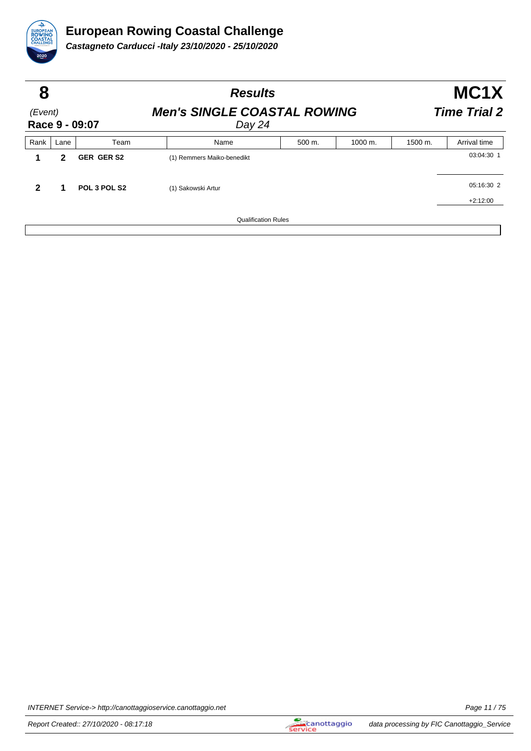

| 8<br>(Event)<br>Race 9 - 09:07 |      |                   | <b>Results</b>                               | MC1X<br><b>Time Trial 2</b> |                      |                    |              |
|--------------------------------|------|-------------------|----------------------------------------------|-----------------------------|----------------------|--------------------|--------------|
|                                |      |                   | <b>Men's SINGLE COASTAL ROWING</b><br>Day 24 |                             |                      |                    |              |
| Rank                           | Lane | Team              | Name                                         | 500 m.                      | $1000 \; \text{m}$ . | $1500 \text{ m}$ . | Arrival time |
|                                | 2    | <b>GER GER S2</b> | (1) Remmers Maiko-benedikt                   |                             |                      |                    | 03:04:30 1   |
| $\overline{2}$                 | 1    | POL 3 POL S2      | (1) Sakowski Artur                           |                             |                      |                    | 05:16:30 2   |
|                                |      |                   |                                              |                             |                      |                    | $+2:12:00$   |
|                                |      |                   | <b>Qualification Rules</b>                   |                             |                      |                    |              |

INTERNET Service-> http://canottaggioservice.canottaggio.net **Page 11/75**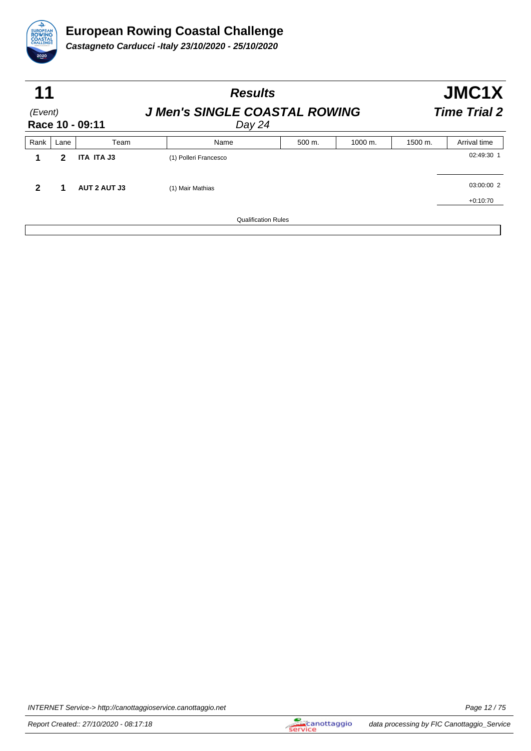

| 11<br>(Event)<br>Race 10 - 09:11 |      |                     | <b>Results</b><br><b>J Men's SINGLE COASTAL ROWING</b><br>Day 24 |        |         |         | JMC1X<br><b>Time Trial 2</b> |  |  |
|----------------------------------|------|---------------------|------------------------------------------------------------------|--------|---------|---------|------------------------------|--|--|
|                                  |      |                     |                                                                  |        |         |         |                              |  |  |
| Rank                             | Lane | Team                | Name                                                             | 500 m. | 1000 m. | 1500 m. | Arrival time                 |  |  |
|                                  | 2    | ITA ITA J3          | (1) Polleri Francesco                                            |        |         |         | 02:49:30 1                   |  |  |
| 2                                |      | <b>AUT 2 AUT J3</b> | (1) Mair Mathias                                                 |        |         |         | 03:00:00 2                   |  |  |
|                                  |      |                     |                                                                  |        |         |         | $+0:10:70$                   |  |  |
|                                  |      |                     | <b>Qualification Rules</b>                                       |        |         |         |                              |  |  |

INTERNET Service-> http://canottaggioservice.canottaggio.net **Page 12/75**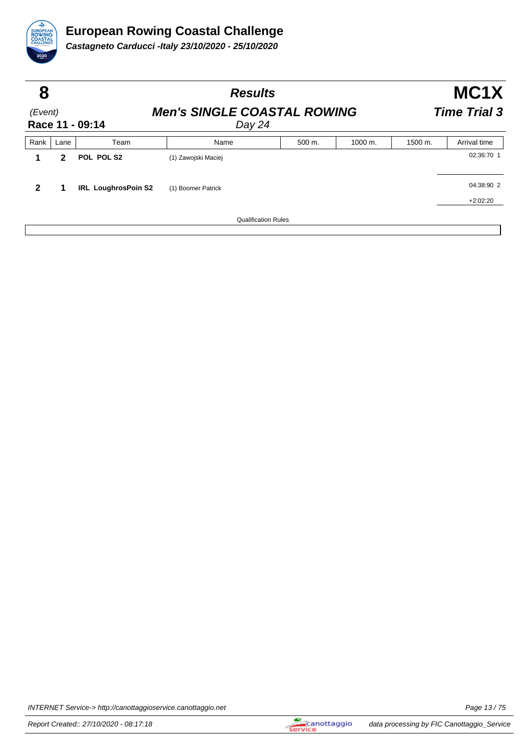

| 8                          |      |                            | <b>Results</b>                                                      |                            |                      | MC <sub>1</sub> X |              |  |
|----------------------------|------|----------------------------|---------------------------------------------------------------------|----------------------------|----------------------|-------------------|--------------|--|
| (Event)<br>Race 11 - 09:14 |      |                            | <b>Men's SINGLE COASTAL ROWING</b><br><b>Time Trial 3</b><br>Day 24 |                            |                      |                   |              |  |
| Rank                       | Lane | Team                       | Name                                                                | 500 m.                     | $1000 \; \text{m}$ . | 1500 m.           | Arrival time |  |
|                            | 2    | POL POL S2                 | (1) Zawojski Maciej                                                 |                            |                      |                   | 02:36:70 1   |  |
| $\mathbf{2}$               |      | <b>IRL LoughrosPoin S2</b> | (1) Boomer Patrick                                                  |                            |                      |                   | 04:38:90 2   |  |
|                            |      |                            |                                                                     |                            |                      |                   | $+2:02:20$   |  |
|                            |      |                            |                                                                     | <b>Qualification Rules</b> |                      |                   |              |  |

INTERNET Service-> http://canottaggioservice.canottaggio.net **Page 13/75**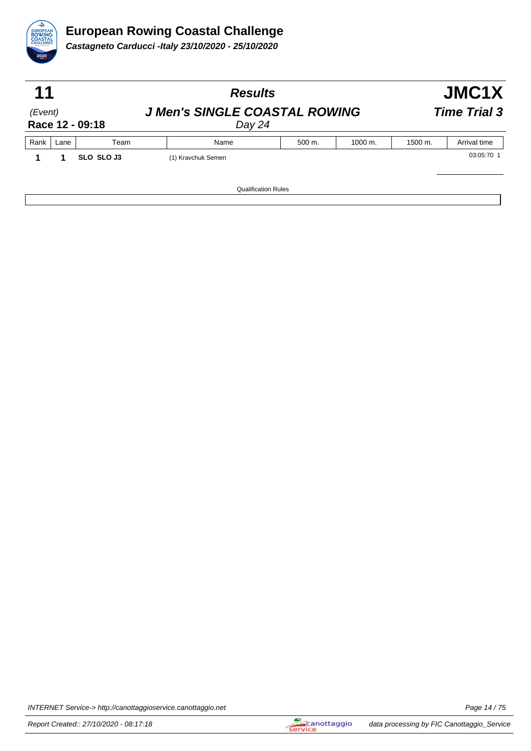

|                                                |        |                            | JMC1X   |                     |  |
|------------------------------------------------|--------|----------------------------|---------|---------------------|--|
| <b>J Men's SINGLE COASTAL ROWING</b><br>Day 24 |        |                            |         | <b>Time Trial 3</b> |  |
| Name                                           | 500 m. | 1000 m.                    | 1500 m. | Arrival time        |  |
| (1) Kravchuk Semen                             |        |                            |         | 03:05:70 1          |  |
|                                                |        |                            |         |                     |  |
|                                                |        | <b>Qualification Rules</b> |         |                     |  |

INTERNET Service-> http://canottaggioservice.canottaggio.net **Page 14/75**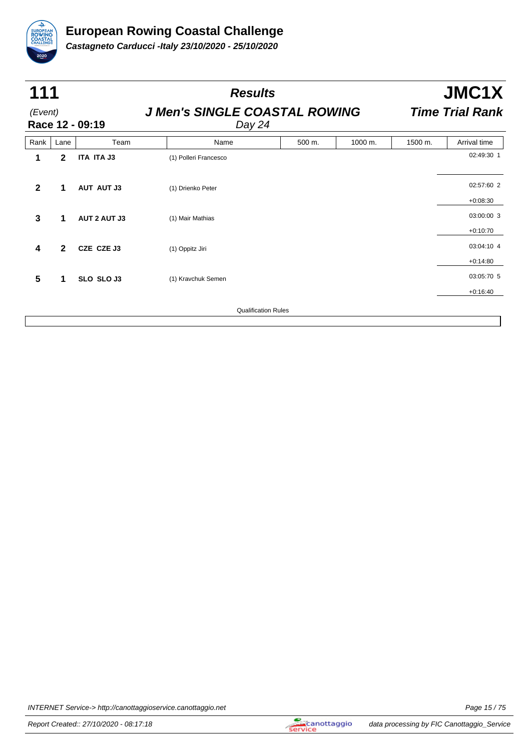

|              | 111          |                     | <b>Results</b>             |                                                |         |         | JMC1X                  |  |  |
|--------------|--------------|---------------------|----------------------------|------------------------------------------------|---------|---------|------------------------|--|--|
| (Event)      |              | Race 12 - 09:19     |                            | <b>J Men's SINGLE COASTAL ROWING</b><br>Day 24 |         |         | <b>Time Trial Rank</b> |  |  |
| Rank         | Lane         | Team                | Name                       | 500 m.                                         | 1000 m. | 1500 m. | Arrival time           |  |  |
| 1            | $\mathbf{2}$ | ITA ITA J3          | (1) Polleri Francesco      |                                                |         |         | 02:49:30 1             |  |  |
| $\mathbf{2}$ | 1            | <b>AUT AUT J3</b>   | (1) Drienko Peter          |                                                |         |         | 02:57:60 2             |  |  |
|              |              |                     |                            |                                                |         |         | $+0:08:30$             |  |  |
| $\mathbf{3}$ | 1            | <b>AUT 2 AUT J3</b> | (1) Mair Mathias           |                                                |         |         | 03:00:00 3             |  |  |
|              |              |                     |                            |                                                |         |         | $+0:10:70$             |  |  |
| 4            | $\mathbf{2}$ | CZE CZE J3          | (1) Oppitz Jiri            |                                                |         |         | 03:04:10 4             |  |  |
|              |              |                     |                            |                                                |         |         | $+0:14:80$             |  |  |
| 5            | 1            | SLO SLO J3          | (1) Kravchuk Semen         |                                                |         |         | 03:05:70 5             |  |  |
|              |              |                     |                            |                                                |         |         | $+0:16:40$             |  |  |
|              |              |                     | <b>Qualification Rules</b> |                                                |         |         |                        |  |  |
|              |              |                     |                            |                                                |         |         |                        |  |  |

INTERNET Service-> http://canottaggioservice.canottaggio.net **Page 15/75**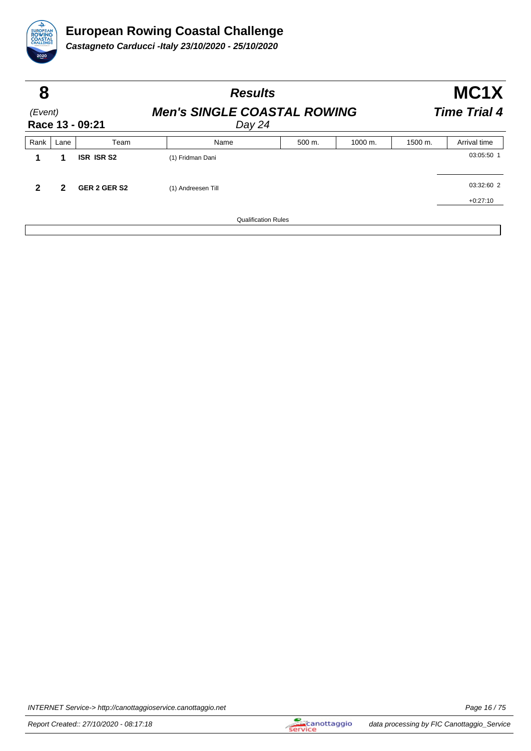

| 8<br>(Event)<br>Race 13 - 09:21 |      |                   |                                              | <b>Results</b>             |         |         | MC <sub>1</sub> X |  |  |
|---------------------------------|------|-------------------|----------------------------------------------|----------------------------|---------|---------|-------------------|--|--|
|                                 |      |                   | <b>Men's SINGLE COASTAL ROWING</b><br>Day 24 | <b>Time Trial 4</b>        |         |         |                   |  |  |
| Rank                            | Lane | Team              | Name                                         | 500 m.                     | 1000 m. | 1500 m. | Arrival time      |  |  |
|                                 | 1    | <b>ISR ISR S2</b> | (1) Fridman Dani                             |                            |         |         | 03:05:50 1        |  |  |
| 2                               | 2    | GER 2 GER S2      | (1) Andreesen Till                           |                            |         |         | 03:32:60 2        |  |  |
|                                 |      |                   |                                              |                            |         |         | $+0:27:10$        |  |  |
|                                 |      |                   |                                              | <b>Qualification Rules</b> |         |         |                   |  |  |

INTERNET Service-> http://canottaggioservice.canottaggio.net **Page 16/75**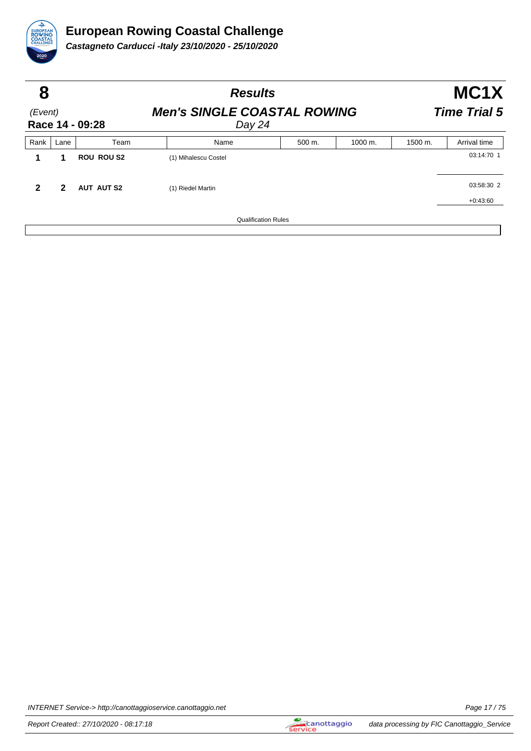

| 8                          |                |                   | <b>Results</b>                               |        |         | MC <sub>1</sub> X<br><b>Time Trial 5</b> |              |  |
|----------------------------|----------------|-------------------|----------------------------------------------|--------|---------|------------------------------------------|--------------|--|
| (Event)<br>Race 14 - 09:28 |                |                   | <b>Men's SINGLE COASTAL ROWING</b><br>Day 24 |        |         |                                          |              |  |
| Rank                       | Lane           | Team              | Name                                         | 500 m. | 1000 m. | 1500 m.                                  | Arrival time |  |
|                            | 1              | <b>ROU ROU S2</b> | (1) Mihalescu Costel                         |        |         |                                          | 03:14:70 1   |  |
| $\mathbf{2}$               | $\overline{2}$ | <b>AUT AUT S2</b> | (1) Riedel Martin                            |        |         |                                          | 03:58:30 2   |  |
|                            |                |                   |                                              |        |         |                                          | $+0:43:60$   |  |
|                            |                |                   | <b>Qualification Rules</b>                   |        |         |                                          |              |  |

INTERNET Service-> http://canottaggioservice.canottaggio.net **Page 17/75**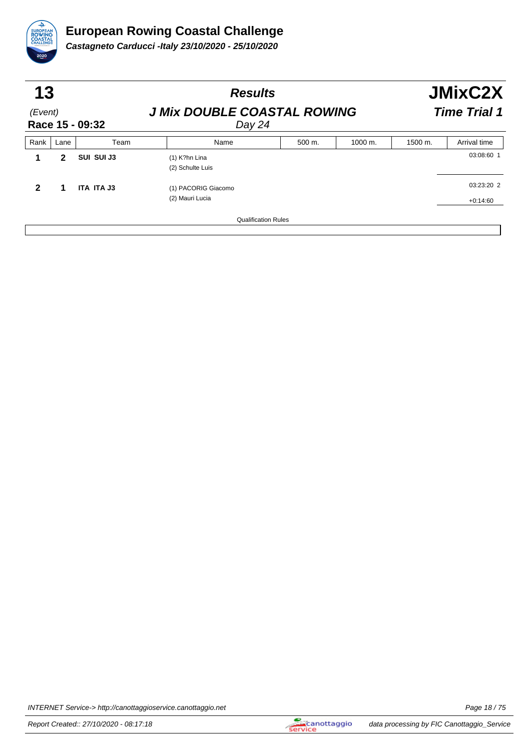

| 13<br>(Event)<br>Race 15 - 09:32 |      |            | <b>Results</b>                               |        |         | <b>JMixC2X</b><br><b>Time Trial 1</b> |                          |  |
|----------------------------------|------|------------|----------------------------------------------|--------|---------|---------------------------------------|--------------------------|--|
|                                  |      |            | <b>J Mix DOUBLE COASTAL ROWING</b><br>Day 24 |        |         |                                       |                          |  |
| Rank                             | Lane | Team       | Name                                         | 500 m. | 1000 m. | 1500 m.                               | Arrival time             |  |
|                                  | 2    | SUI SUI J3 | $(1)$ K?hn Lina<br>(2) Schulte Luis          |        |         |                                       | 03:08:60 1               |  |
| $\mathbf{2}$                     |      | ITA ITA J3 | (1) PACORIG Giacomo<br>(2) Mauri Lucia       |        |         |                                       | 03:23:20 2<br>$+0:14:60$ |  |
|                                  |      |            | <b>Qualification Rules</b>                   |        |         |                                       |                          |  |

INTERNET Service-> http://canottaggioservice.canottaggio.net **Page 18/75**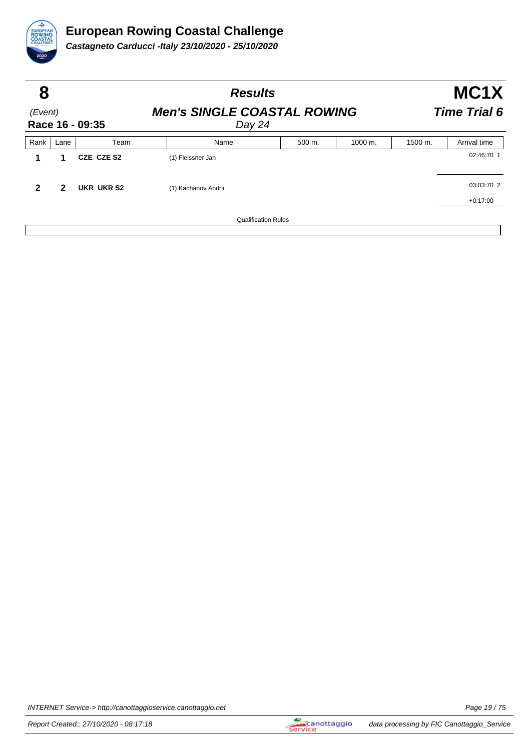

| 8                          |      |            | <b>Results</b>                               |        |                      | MC <sub>1</sub> X<br><b>Time Trial 6</b> |              |  |
|----------------------------|------|------------|----------------------------------------------|--------|----------------------|------------------------------------------|--------------|--|
| (Event)<br>Race 16 - 09:35 |      |            | <b>Men's SINGLE COASTAL ROWING</b><br>Day 24 |        |                      |                                          |              |  |
| Rank                       | Lane | Team       | Name                                         | 500 m. | $1000 \; \text{m}$ . | 1500 m.                                  | Arrival time |  |
|                            |      | CZE CZE S2 | (1) Fleissner Jan                            |        |                      |                                          | 02:46:70 1   |  |
| $\mathbf{2}$               | 2    | UKR UKR S2 | (1) Kachanov Andrii                          |        |                      |                                          | 03:03:70 2   |  |
|                            |      |            |                                              |        |                      |                                          | $+0:17:00$   |  |
|                            |      |            | <b>Qualification Rules</b>                   |        |                      |                                          |              |  |

INTERNET Service-> http://canottaggioservice.canottaggio.net **Page 19/75**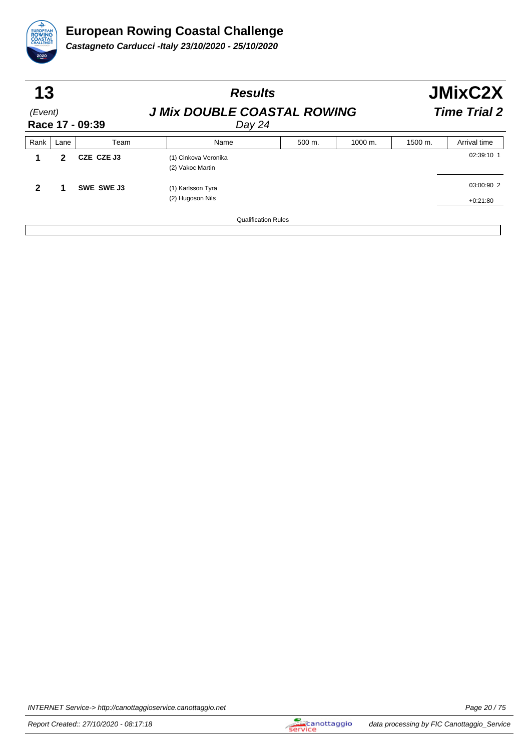

| 13<br>(Event)<br>Race 17 - 09:39 |      |            | <b>Results</b>                               |        |         | <b>JMixC2X</b><br><b>Time Trial 2</b> |                          |  |
|----------------------------------|------|------------|----------------------------------------------|--------|---------|---------------------------------------|--------------------------|--|
|                                  |      |            | <b>J Mix DOUBLE COASTAL ROWING</b><br>Day 24 |        |         |                                       |                          |  |
| Rank                             | Lane | Team       | Name                                         | 500 m. | 1000 m. | 1500 m.                               | Arrival time             |  |
|                                  | 2    | CZE CZE J3 | (1) Cinkova Veronika<br>(2) Vakoc Martin     |        |         |                                       | 02:39:10 1               |  |
| 2                                |      | SWE SWE J3 | (1) Karlsson Tyra<br>(2) Hugoson Nils        |        |         |                                       | 03:00:90 2<br>$+0:21:80$ |  |
|                                  |      |            | <b>Qualification Rules</b>                   |        |         |                                       |                          |  |

INTERNET Service-> http://canottaggioservice.canottaggio.net **Page 20** / 75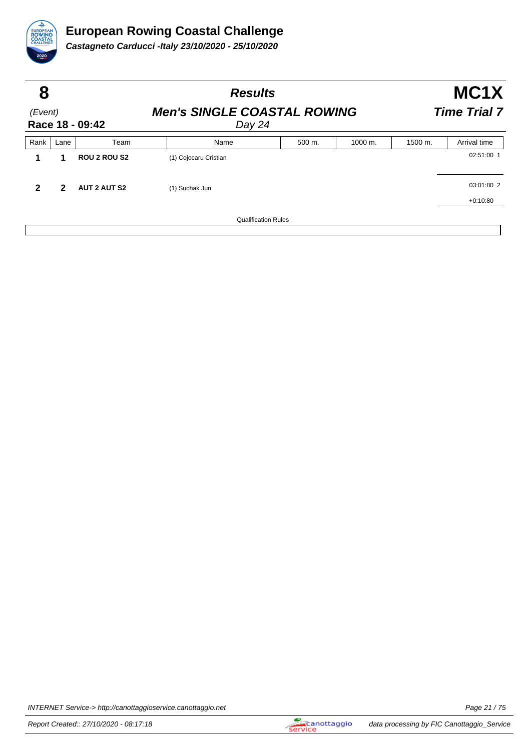

| 8<br>(Event)<br>Race 18 - 09:42 |      |                     | <b>Results</b>                               |        |                      | MC <sub>1</sub> X<br><b>Time Trial 7</b> |              |  |
|---------------------------------|------|---------------------|----------------------------------------------|--------|----------------------|------------------------------------------|--------------|--|
|                                 |      |                     | <b>Men's SINGLE COASTAL ROWING</b><br>Day 24 |        |                      |                                          |              |  |
| Rank                            | Lane | Team                | Name                                         | 500 m. | $1000 \; \text{m}$ . | 1500 m.                                  | Arrival time |  |
|                                 | 1    | <b>ROU 2 ROU S2</b> | (1) Cojocaru Cristian                        |        |                      |                                          | 02:51:00 1   |  |
| $\mathbf{2}$                    | 2    | <b>AUT 2 AUT S2</b> | (1) Suchak Juri                              |        |                      |                                          | 03:01:80 2   |  |
|                                 |      |                     |                                              |        |                      |                                          | $+0:10:80$   |  |
|                                 |      |                     | <b>Qualification Rules</b>                   |        |                      |                                          |              |  |

INTERNET Service-> http://canottaggioservice.canottaggio.net **Page 21/75**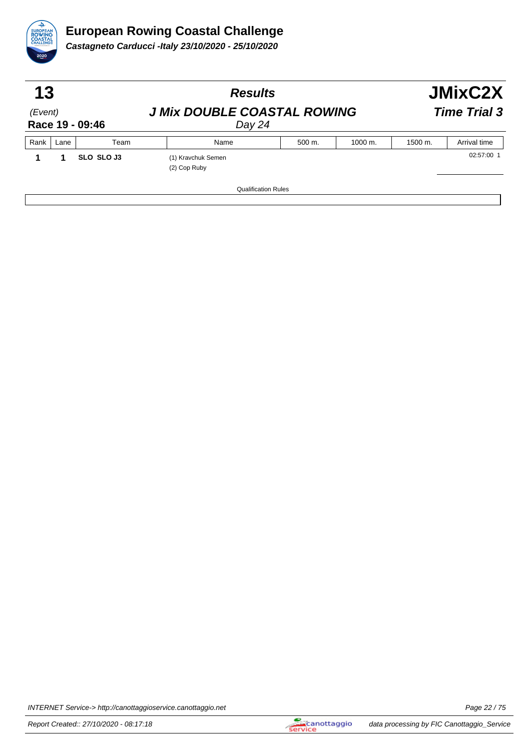

| 13<br>(Event)<br>Race 19 - 09:46 |      |            | <b>Results</b>                               | <b>JMixC2X</b><br><b>Time Trial 3</b> |         |         |              |
|----------------------------------|------|------------|----------------------------------------------|---------------------------------------|---------|---------|--------------|
|                                  |      |            | <b>J Mix DOUBLE COASTAL ROWING</b><br>Day 24 |                                       |         |         |              |
| Rank                             | Lane | Team       | Name                                         | 500 m.                                | 1000 m. | 1500 m. | Arrival time |
|                                  |      | SLO SLO J3 | (1) Kravchuk Semen<br>(2) Cop Ruby           |                                       |         |         | 02:57:00 1   |
|                                  |      |            | <b>Qualification Rules</b>                   |                                       |         |         |              |

INTERNET Service-> http://canottaggioservice.canottaggio.net **Page 22** / 75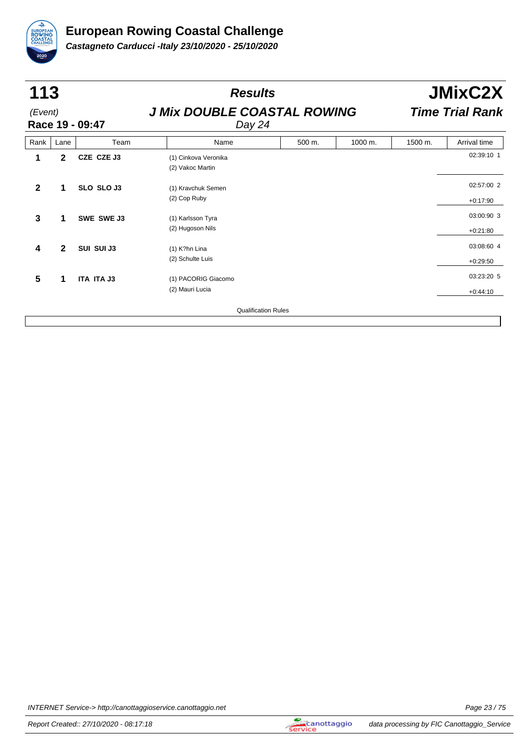

| 113          |              |                   | <b>Results</b>                               |        |         | <b>JMixC2X</b>         |              |  |
|--------------|--------------|-------------------|----------------------------------------------|--------|---------|------------------------|--------------|--|
| (Event)      |              | Race 19 - 09:47   | <b>J Mix DOUBLE COASTAL ROWING</b><br>Day 24 |        |         | <b>Time Trial Rank</b> |              |  |
| Rank         | Lane         | Team              | Name                                         | 500 m. | 1000 m. | 1500 m.                | Arrival time |  |
| 1            | $\mathbf{2}$ | CZE CZE J3        | (1) Cinkova Veronika<br>(2) Vakoc Martin     |        |         |                        | 02:39:10 1   |  |
| $\mathbf 2$  | 1            | SLO SLO J3        | (1) Kravchuk Semen                           |        |         |                        | 02:57:00 2   |  |
|              |              |                   | (2) Cop Ruby                                 |        |         |                        | $+0:17:90$   |  |
| $\mathbf{3}$ | 1            | SWE SWE J3        | (1) Karlsson Tyra                            |        |         |                        | 03:00:90 3   |  |
|              |              |                   | (2) Hugoson Nils                             |        |         |                        | $+0:21:80$   |  |
| 4            | $\mathbf{2}$ | SUI SUI J3        | $(1)$ K?hn Lina                              |        |         |                        | 03:08:60 4   |  |
|              |              |                   | (2) Schulte Luis                             |        |         |                        | $+0:29:50$   |  |
| 5            | 1            | <b>ITA ITA J3</b> | (1) PACORIG Giacomo                          |        |         |                        | 03:23:20 5   |  |
|              |              |                   | (2) Mauri Lucia                              |        |         |                        | $+0:44:10$   |  |
|              |              |                   | <b>Qualification Rules</b>                   |        |         |                        |              |  |

INTERNET Service-> http://canottaggioservice.canottaggio.net **Page 23/75**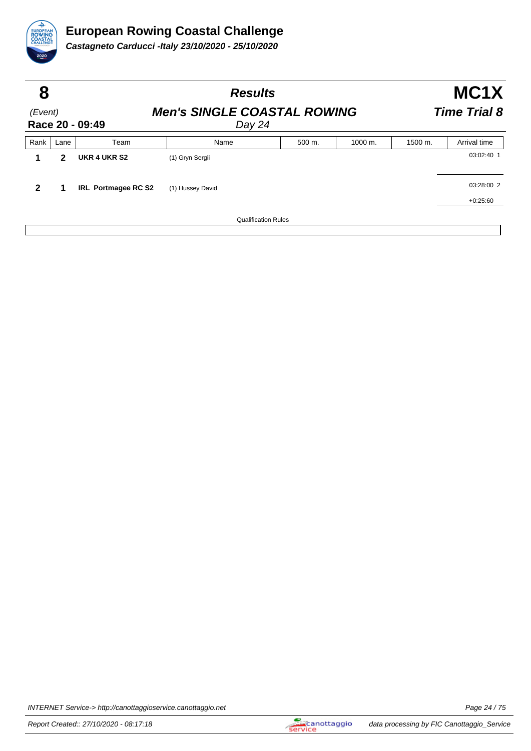

| 8                          |      |                                    | <b>Results</b>             | MC1X                |         |         |              |
|----------------------------|------|------------------------------------|----------------------------|---------------------|---------|---------|--------------|
| (Event)<br>Race 20 - 09:49 |      | <b>Men's SINGLE COASTAL ROWING</b> |                            | <b>Time Trial 8</b> |         |         |              |
| Rank                       | Lane | Team                               | Name                       | 500 m.              | 1000 m. | 1500 m. | Arrival time |
|                            | 2    | UKR 4 UKR S2                       | (1) Gryn Sergii            |                     |         |         | 03:02:40 1   |
| 2                          |      | IRL Portmagee RC S2                | (1) Hussey David           |                     |         |         | 03:28:00 2   |
|                            |      |                                    |                            |                     |         |         | $+0:25:60$   |
|                            |      |                                    | <b>Qualification Rules</b> |                     |         |         |              |

INTERNET Service-> http://canottaggioservice.canottaggio.net **Page 24/75**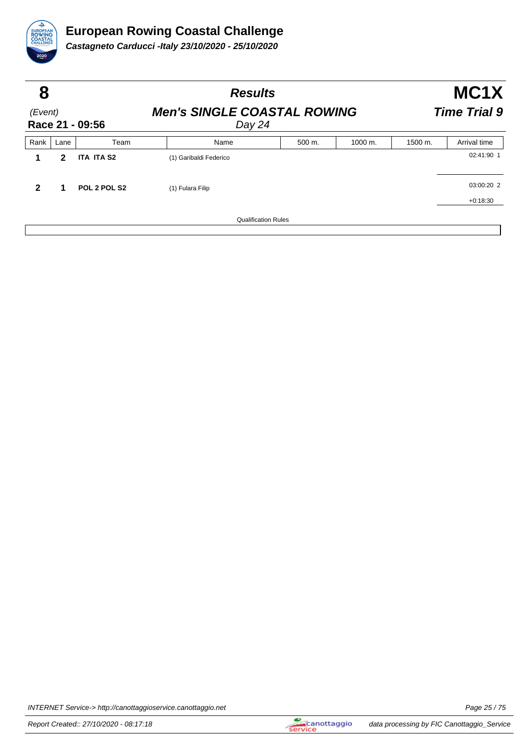

| 8                          |      |                   | <b>Results</b>                               |        |         | MC1X                |              |  |
|----------------------------|------|-------------------|----------------------------------------------|--------|---------|---------------------|--------------|--|
| (Event)<br>Race 21 - 09:56 |      |                   | <b>Men's SINGLE COASTAL ROWING</b><br>Day 24 |        |         | <b>Time Trial 9</b> |              |  |
| Rank                       | Lane | Team              | Name                                         | 500 m. | 1000 m. | 1500 m.             | Arrival time |  |
| 1                          | 2    | <b>ITA ITA S2</b> | (1) Garibaldi Federico                       |        |         |                     | 02:41:90 1   |  |
| $\mathbf{2}$               | 1    | POL 2 POL S2      | (1) Fulara Filip                             |        |         |                     | 03:00:20 2   |  |
|                            |      |                   |                                              |        |         |                     | $+0:18:30$   |  |
|                            |      |                   | <b>Qualification Rules</b>                   |        |         |                     |              |  |

INTERNET Service-> http://canottaggioservice.canottaggio.net **Page 25** / 75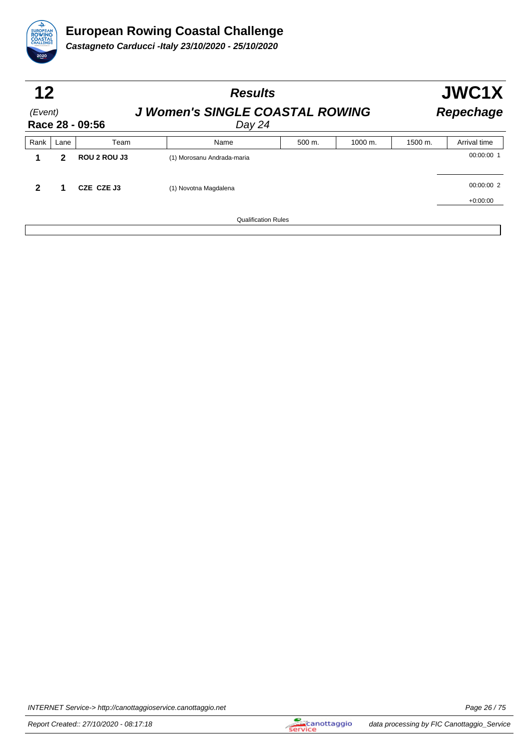

| 12           |      |                 | <b>Results</b>                                   |        | JWC1X   |         |                  |  |
|--------------|------|-----------------|--------------------------------------------------|--------|---------|---------|------------------|--|
| (Event)      |      | Race 28 - 09:56 | <b>J Women's SINGLE COASTAL ROWING</b><br>Day 24 |        |         |         | <b>Repechage</b> |  |
| Rank         | Lane | Team            | Name                                             | 500 m. | 1000 m. | 1500 m. | Arrival time     |  |
|              | 2    | ROU 2 ROU J3    | (1) Morosanu Andrada-maria                       |        |         |         | 00:00:00 1       |  |
| $\mathbf{2}$ | 1    | CZE CZE J3      | (1) Novotna Magdalena                            |        |         |         | 00:00:00 2       |  |
|              |      |                 |                                                  |        |         |         | $+0:00:00$       |  |
|              |      |                 | <b>Qualification Rules</b>                       |        |         |         |                  |  |

INTERNET Service-> http://canottaggioservice.canottaggio.net **Page 26** / 75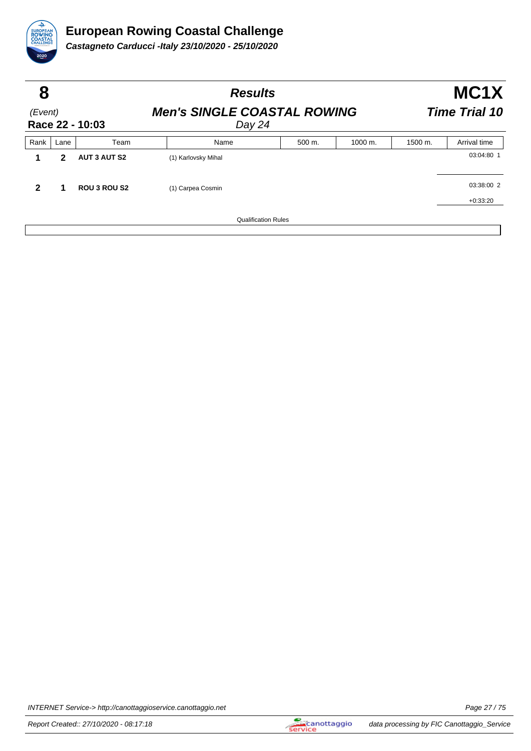

| 8                          |      |                     |                                              | <b>Results</b>       |                      |         | MC <sub>1</sub> X |  |  |
|----------------------------|------|---------------------|----------------------------------------------|----------------------|----------------------|---------|-------------------|--|--|
| (Event)<br>Race 22 - 10:03 |      |                     | <b>Men's SINGLE COASTAL ROWING</b><br>Day 24 | <b>Time Trial 10</b> |                      |         |                   |  |  |
| Rank                       | Lane | Team                | Name                                         | 500 m.               | $1000 \; \text{m}$ . | 1500 m. | Arrival time      |  |  |
|                            | 2    | <b>AUT 3 AUT S2</b> | (1) Karlovsky Mihal                          |                      |                      |         | 03:04:80 1        |  |  |
| 2                          | 1    | <b>ROU 3 ROU S2</b> | (1) Carpea Cosmin                            |                      |                      |         | 03:38:00 2        |  |  |
|                            |      |                     |                                              |                      |                      |         | $+0:33:20$        |  |  |
|                            |      |                     | <b>Qualification Rules</b>                   |                      |                      |         |                   |  |  |

INTERNET Service-> http://canottaggioservice.canottaggio.net **Page 27/75**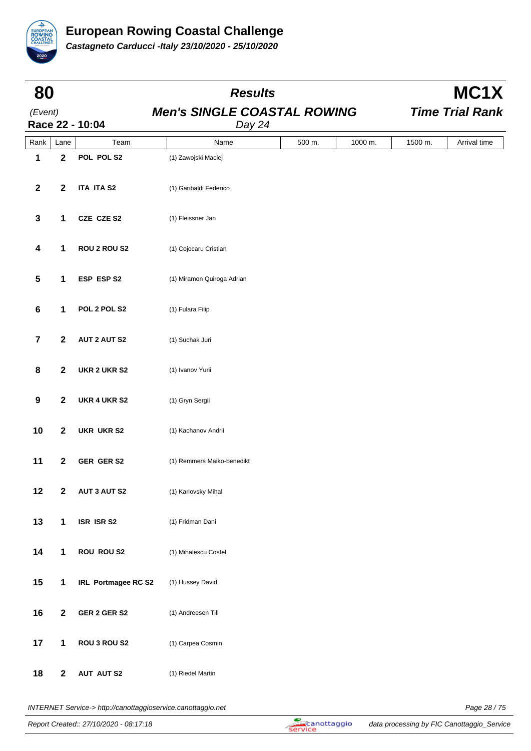

| 80                      |                         | <b>Results</b>      |                                              |        |         |         | MC1X                   |
|-------------------------|-------------------------|---------------------|----------------------------------------------|--------|---------|---------|------------------------|
| (Event)                 |                         | Race 22 - 10:04     | <b>Men's SINGLE COASTAL ROWING</b><br>Day 24 |        |         |         | <b>Time Trial Rank</b> |
| Rank                    | Lane                    | Team                | Name                                         | 500 m. | 1000 m. | 1500 m. | Arrival time           |
| 1                       | $\mathbf{2}$            | POL POL S2          | (1) Zawojski Maciej                          |        |         |         |                        |
| $\mathbf{2}$            | $\mathbf{2}$            | <b>ITA ITA S2</b>   | (1) Garibaldi Federico                       |        |         |         |                        |
| $\mathbf 3$             | $\mathbf{1}$            | CZE CZE S2          | (1) Fleissner Jan                            |        |         |         |                        |
| 4                       | $\mathbf 1$             | <b>ROU 2 ROU S2</b> | (1) Cojocaru Cristian                        |        |         |         |                        |
| ${\bf 5}$               | $\mathbf 1$             | ESP ESP S2          | (1) Miramon Quiroga Adrian                   |        |         |         |                        |
| $\bf 6$                 | 1                       | POL 2 POL S2        | (1) Fulara Filip                             |        |         |         |                        |
| $\overline{\mathbf{7}}$ | $\mathbf{2}$            | <b>AUT 2 AUT S2</b> | (1) Suchak Juri                              |        |         |         |                        |
| 8                       | $\mathbf{2}$            | UKR 2 UKR S2        | (1) Ivanov Yurii                             |        |         |         |                        |
| $\boldsymbol{9}$        | $\mathbf{2}$            | <b>UKR 4 UKR S2</b> | (1) Gryn Sergii                              |        |         |         |                        |
| 10                      | $\mathbf{2}$            | <b>UKR UKR S2</b>   | (1) Kachanov Andrii                          |        |         |         |                        |
| 11                      | $\overline{\mathbf{2}}$ | GER GER S2          | (1) Remmers Maiko-benedikt                   |        |         |         |                        |
| 12                      | $\mathbf 2$             | <b>AUT 3 AUT S2</b> | (1) Karlovsky Mihal                          |        |         |         |                        |
| 13                      | $\mathbf 1$             | ISR ISR S2          | (1) Fridman Dani                             |        |         |         |                        |
| 14                      | $\mathbf{1}$            | <b>ROU ROU S2</b>   | (1) Mihalescu Costel                         |        |         |         |                        |
| 15                      | $\mathbf{1}$            | IRL Portmagee RC S2 | (1) Hussey David                             |        |         |         |                        |
| 16                      | $\boldsymbol{2}$        | GER 2 GER S2        | (1) Andreesen Till                           |        |         |         |                        |
| 17                      | 1                       | ROU 3 ROU S2        | (1) Carpea Cosmin                            |        |         |         |                        |
| 18                      | $\boldsymbol{2}$        | <b>AUT AUT S2</b>   | (1) Riedel Martin                            |        |         |         |                        |

INTERNET Service-> http://canottaggioservice.canottaggio.net **Page 28/75**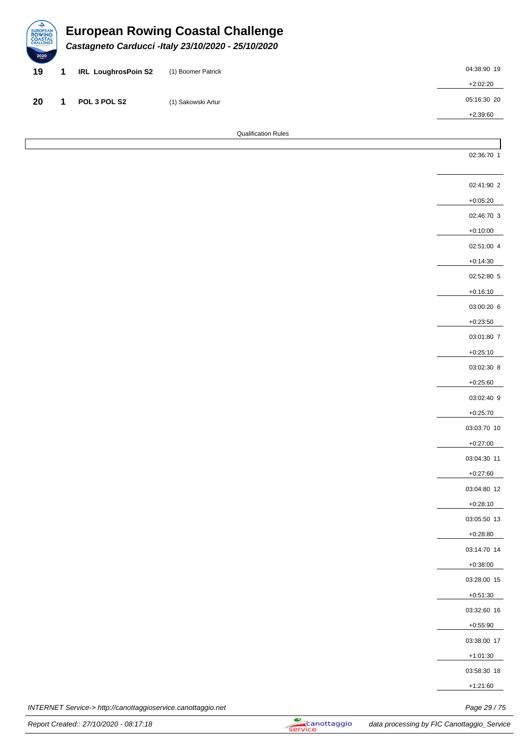| ↩<br>EUROPEAN<br>ROWING<br>COASTAL<br>CHALLENGE<br>2020 |                            | <b>European Rowing Coastal Challenge</b><br>Castagneto Carducci - Italy 23/10/2020 - 25/10/2020 |             |
|---------------------------------------------------------|----------------------------|-------------------------------------------------------------------------------------------------|-------------|
| 19                                                      | <b>IRL LoughrosPoin S2</b> | (1) Boomer Patrick                                                                              | 04:38:90 19 |
|                                                         |                            |                                                                                                 | $+2:02:20$  |
| 20                                                      | POL 3 POL S2               | (1) Sakowski Artur                                                                              | 05:16:30 20 |
|                                                         |                            |                                                                                                 | $+2:39:60$  |
|                                                         |                            | <b>Qualification Rules</b>                                                                      |             |

| INTERNET Service-> http://canottaggioservice.canottaggio.net<br>$\cdot$ | Page 29 / 75 |
|-------------------------------------------------------------------------|--------------|

Report Created:: 27/10/2020 - 08:17:18 data processing by FIC Canottaggio\_Service

02:36:70 1

02:41:90 2 +0:05:20 02:46:70 3 +0:10:00 02:51:00 4 +0:14:30 02:52:80 5 +0:16:10 03:00:20 6 +0:23:50 03:01:80 7 +0:25:10 03:02:30 8 +0:25:60 03:02:40 9 +0:25:70 03:03:70 10 +0:27:00 03:04:30 11 +0:27:60 03:04:80 12 +0:28:10 03:05:50 13 +0:28:80 03:14:70 14 +0:38:00 03:28:00 15 +0:51:30 03:32:60 16 +0:55:90 03:38:00 17 +1:01:30 03:58:30 18 +1:21:60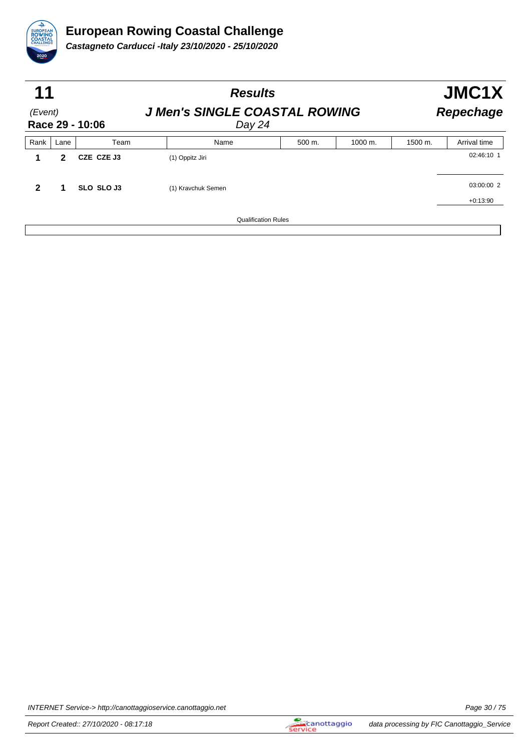

| 11                         |      |            | <b>Results</b>                                 |                            |        | JMC1X                |         |                  |  |
|----------------------------|------|------------|------------------------------------------------|----------------------------|--------|----------------------|---------|------------------|--|
| (Event)<br>Race 29 - 10:06 |      |            | <b>J Men's SINGLE COASTAL ROWING</b><br>Day 24 |                            |        |                      |         | <b>Repechage</b> |  |
| Rank                       | Lane | Team       |                                                | Name                       | 500 m. | $1000 \; \text{m}$ . | 1500 m. | Arrival time     |  |
|                            | 2    | CZE CZE J3 | (1) Oppitz Jiri                                |                            |        |                      |         | 02:46:10 1       |  |
| $\mathbf{2}$               |      | SLO SLO J3 | (1) Kravchuk Semen                             |                            |        |                      |         | 03:00:00 2       |  |
|                            |      |            |                                                |                            |        |                      |         | $+0:13:90$       |  |
|                            |      |            |                                                | <b>Qualification Rules</b> |        |                      |         |                  |  |

INTERNET Service-> http://canottaggioservice.canottaggio.net **Page 30** / 75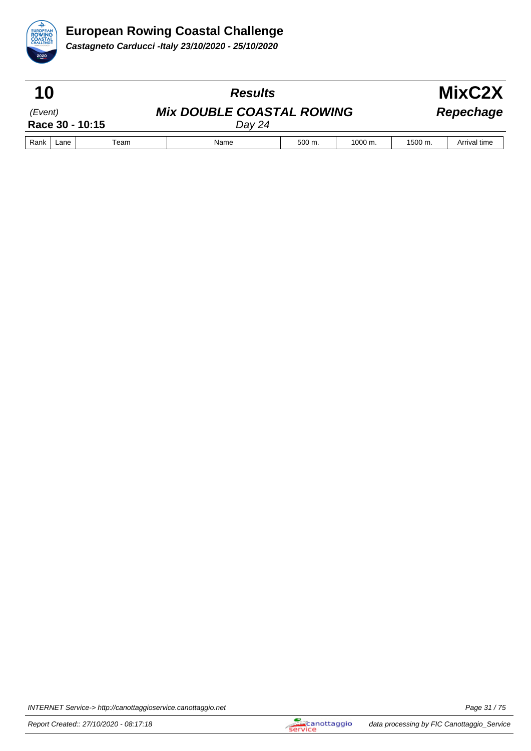

| 10                         |  |  | <b>Results</b>                             |             |                      |         | MixC2X       |
|----------------------------|--|--|--------------------------------------------|-------------|----------------------|---------|--------------|
| (Event)<br>Race 30 - 10:15 |  |  | <b>Mix DOUBLE COASTAL ROWING</b><br>Day 24 |             |                      |         | Repechage    |
| Rank<br>Team<br>Lane       |  |  | Name                                       | $500 \; m.$ | $1000 \; \text{m}$ . | 1500 m. | Arrival time |

INTERNET Service-> http://canottaggioservice.canottaggio.net **Page 31/75**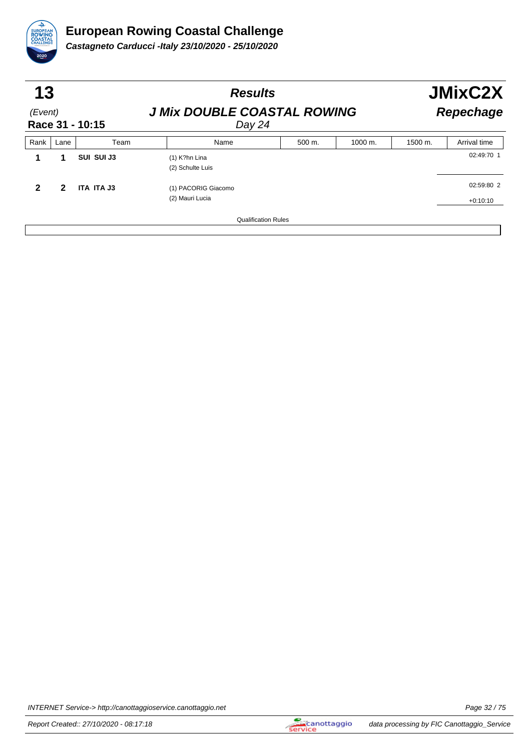

|                            | 13   |            | <b>Results</b>                               |        |         | <b>JMixC2X</b>   |                          |  |
|----------------------------|------|------------|----------------------------------------------|--------|---------|------------------|--------------------------|--|
| (Event)<br>Race 31 - 10:15 |      |            | <b>J Mix DOUBLE COASTAL ROWING</b><br>Day 24 |        |         | <b>Repechage</b> |                          |  |
| Rank                       | Lane | Team       | Name                                         | 500 m. | 1000 m. | 1500 m.          | Arrival time             |  |
|                            |      | SUI SUI J3 | $(1)$ K?hn Lina<br>(2) Schulte Luis          |        |         |                  | 02:49:70 1               |  |
| 2                          | 2    | ITA ITA J3 | (1) PACORIG Giacomo<br>(2) Mauri Lucia       |        |         |                  | 02:59:80 2<br>$+0:10:10$ |  |
|                            |      |            | <b>Qualification Rules</b>                   |        |         |                  |                          |  |

INTERNET Service-> http://canottaggioservice.canottaggio.net **Page 32** / 75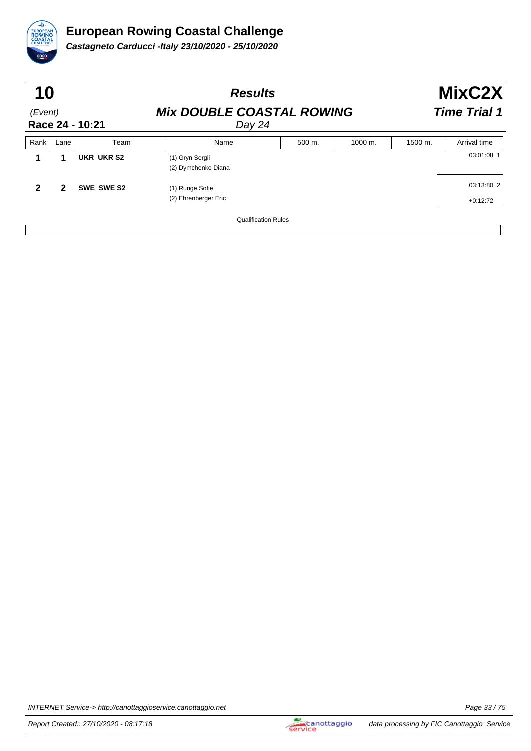

| 10                         |      |            | <b>Results</b>                             |        |         | MixC2X              |                          |  |
|----------------------------|------|------------|--------------------------------------------|--------|---------|---------------------|--------------------------|--|
| (Event)<br>Race 24 - 10:21 |      |            | <b>Mix DOUBLE COASTAL ROWING</b><br>Day 24 |        |         | <b>Time Trial 1</b> |                          |  |
| Rank                       | Lane | Team       | Name                                       | 500 m. | 1000 m. | 1500 m.             | Arrival time             |  |
|                            | 1    | UKR UKR S2 | (1) Gryn Sergii<br>(2) Dymchenko Diana     |        |         |                     | 03:01:08 1               |  |
| $\mathbf{2}$               | 2    | SWE SWE S2 | (1) Runge Sofie<br>(2) Ehrenberger Eric    |        |         |                     | 03:13:80 2<br>$+0:12:72$ |  |
|                            |      |            | <b>Qualification Rules</b>                 |        |         |                     |                          |  |

INTERNET Service-> http://canottaggioservice.canottaggio.net **Page 33/75**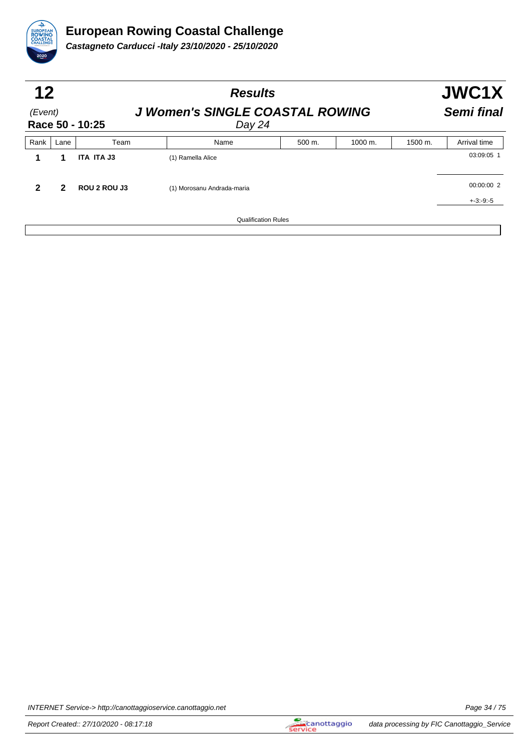

| 12<br>(Event) |      | Race 50 - 10:25 | <b>Results</b><br><b>J Women's SINGLE COASTAL ROWING</b><br>Day 24 |        |         |         | JWC1X<br>Semi final |  |
|---------------|------|-----------------|--------------------------------------------------------------------|--------|---------|---------|---------------------|--|
| Rank          | Lane | Team            | Name                                                               | 500 m. | 1000 m. | 1500 m. | Arrival time        |  |
|               | 1    | ITA ITA J3      | (1) Ramella Alice                                                  |        |         |         | 03:09:05 1          |  |
|               | 2    | ROU 2 ROU J3    | (1) Morosanu Andrada-maria                                         |        |         |         | 00:00:00 2          |  |
|               |      |                 |                                                                    |        |         |         | $+3: -9: -5$        |  |
|               |      |                 | <b>Qualification Rules</b>                                         |        |         |         |                     |  |

INTERNET Service-> http://canottaggioservice.canottaggio.net **Page 34/75**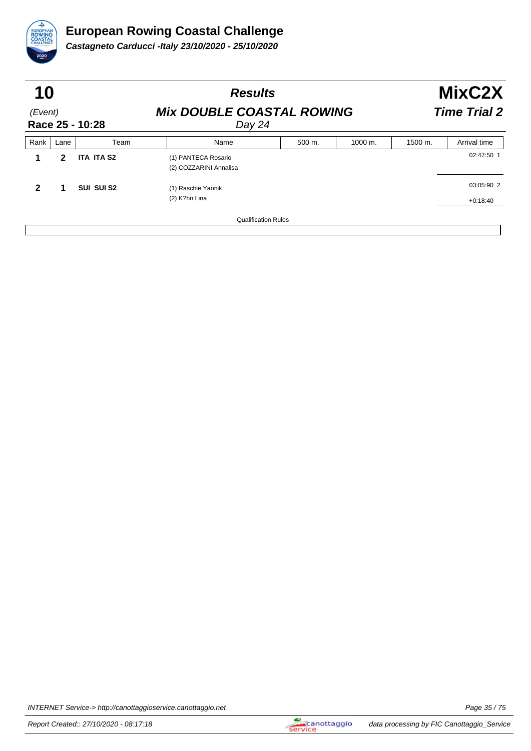

| 10<br>(Event)<br>Race 25 - 10:28 |   |                   | <b>Results</b><br><b>Mix DOUBLE COASTAL ROWING</b><br>Day 24 |  |  | MixC2X<br><b>Time Trial 2</b> |                          |  |
|----------------------------------|---|-------------------|--------------------------------------------------------------|--|--|-------------------------------|--------------------------|--|
|                                  |   |                   |                                                              |  |  |                               |                          |  |
|                                  | 2 | <b>ITA ITA S2</b> | (1) PANTECA Rosario<br>(2) COZZARINI Annalisa                |  |  |                               | 02:47:50 1               |  |
| 2                                | 1 | SUI SUI S2        | (1) Raschle Yannik<br>(2) K?hn Lina                          |  |  |                               | 03:05:90 2<br>$+0:18:40$ |  |
|                                  |   |                   | <b>Qualification Rules</b>                                   |  |  |                               |                          |  |

INTERNET Service-> http://canottaggioservice.canottaggio.net **Page 35** / 75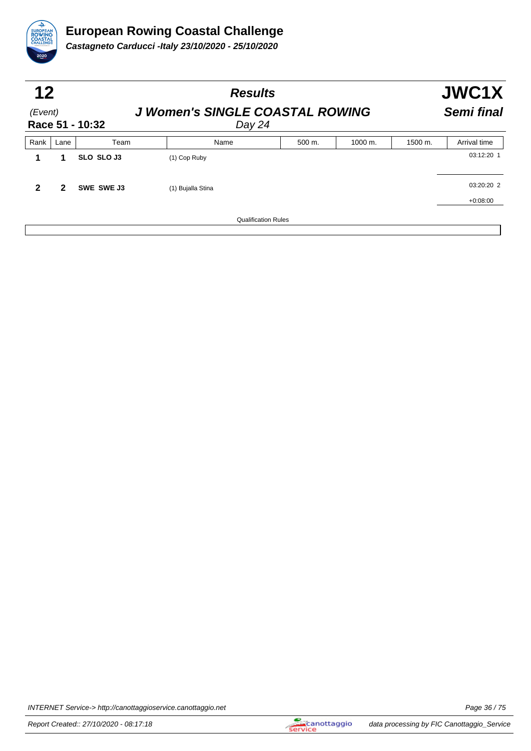

| 12<br>(Event)<br>Race 51 - 10:32 |      | <b>Results</b><br><b>J Women's SINGLE COASTAL ROWING</b><br>Day 24 |                   |        |         |         | JWC1X<br>Semi final |  |
|----------------------------------|------|--------------------------------------------------------------------|-------------------|--------|---------|---------|---------------------|--|
| Rank                             | Lane | Team                                                               | Name              | 500 m. | 1000 m. | 1500 m. | Arrival time        |  |
|                                  | 1    | <b>SLO SLO J3</b>                                                  | (1) Cop Ruby      |        |         |         | 03:12:20 1          |  |
| 2                                | 2    | SWE SWE J3                                                         | (1) Bujalla Stina |        |         |         | 03:20:20 2          |  |
|                                  |      |                                                                    |                   |        |         |         | $+0:08:00$          |  |
| <b>Qualification Rules</b>       |      |                                                                    |                   |        |         |         |                     |  |

INTERNET Service-> http://canottaggioservice.canottaggio.net **Page 36** / 75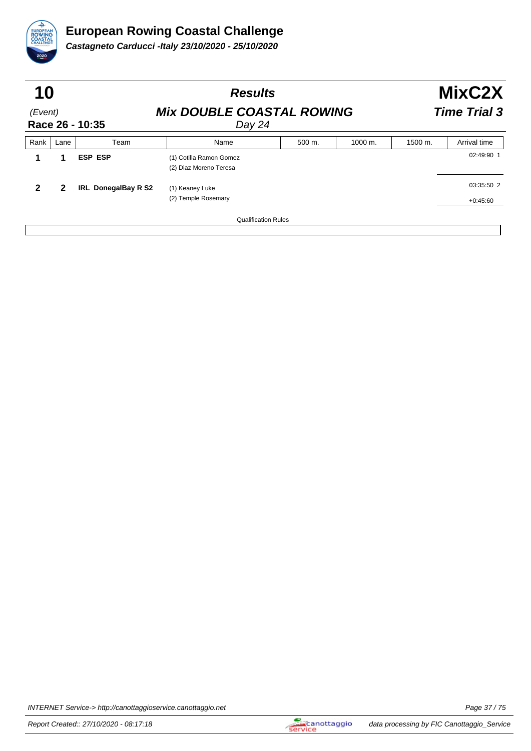

| 10                         |              |                            | <b>Results</b>                                    |                     | MixC2X  |         |                          |
|----------------------------|--------------|----------------------------|---------------------------------------------------|---------------------|---------|---------|--------------------------|
| (Event)<br>Race 26 - 10:35 |              |                            | <b>Mix DOUBLE COASTAL ROWING</b><br>Day 24        | <b>Time Trial 3</b> |         |         |                          |
| Rank                       | Lane         | Team                       | Name                                              | 500 m.              | 1000 m. | 1500 m. | Arrival time             |
|                            | 1            | <b>ESP ESP</b>             | (1) Cotilla Ramon Gomez<br>(2) Diaz Moreno Teresa |                     |         |         | 02:49:90 1               |
| $\mathbf{2}$               | $\mathbf{2}$ | <b>IRL DonegalBay R S2</b> | (1) Keaney Luke<br>(2) Temple Rosemary            |                     |         |         | 03:35:50 2<br>$+0:45:60$ |
|                            |              |                            | <b>Qualification Rules</b>                        |                     |         |         |                          |

INTERNET Service-> http://canottaggioservice.canottaggio.net **Page 37/75**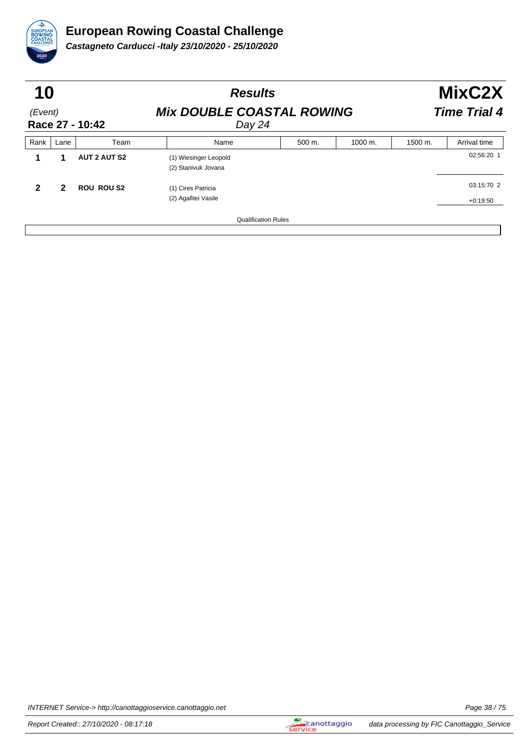

| 10                         |              |                     | <b>Results</b>                               |                     | MixC2X  |         |                          |
|----------------------------|--------------|---------------------|----------------------------------------------|---------------------|---------|---------|--------------------------|
| (Event)<br>Race 27 - 10:42 |              |                     | <b>Mix DOUBLE COASTAL ROWING</b><br>Day 24   | <b>Time Trial 4</b> |         |         |                          |
| Rank                       | Lane         | Team                | Name                                         | 500 m.              | 1000 m. | 1500 m. | Arrival time             |
|                            | и            | <b>AUT 2 AUT S2</b> | (1) Wiesinger Leopold<br>(2) Stanivuk Jovana |                     |         |         | 02:56:20 1               |
| $\mathbf{2}$               | $\mathbf{2}$ | <b>ROU ROU S2</b>   | (1) Cires Patricia<br>(2) Agafitei Vasile    |                     |         |         | 03:15:70 2<br>$+0:19:50$ |
|                            |              |                     | <b>Qualification Rules</b>                   |                     |         |         |                          |

INTERNET Service-> http://canottaggioservice.canottaggio.net **Page 38/75**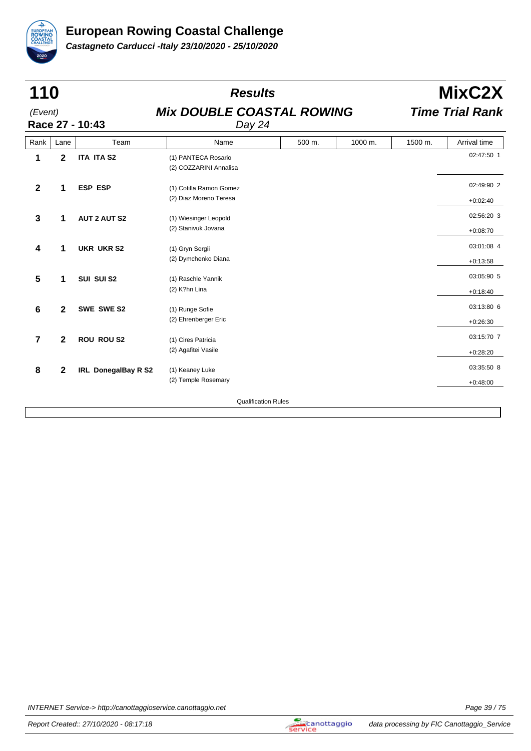

| 110<br>(Event)<br>Race 27 - 10:43 |              |                            | <b>Results</b>                                    |        | MixC2X  |         |                          |
|-----------------------------------|--------------|----------------------------|---------------------------------------------------|--------|---------|---------|--------------------------|
|                                   |              |                            | <b>Mix DOUBLE COASTAL ROWING</b><br>Day 24        |        |         |         | <b>Time Trial Rank</b>   |
| Rank                              | Lane         | Team                       | Name                                              | 500 m. | 1000 m. | 1500 m. | Arrival time             |
| 1                                 | $\mathbf{2}$ | <b>ITA ITA S2</b>          | (1) PANTECA Rosario<br>(2) COZZARINI Annalisa     |        |         |         | 02:47:50 1               |
| $\mathbf{2}$                      | 1            | <b>ESP ESP</b>             | (1) Cotilla Ramon Gomez<br>(2) Diaz Moreno Teresa |        |         |         | 02:49:90 2<br>$+0:02:40$ |
| 3                                 | 1            | <b>AUT 2 AUT S2</b>        | (1) Wiesinger Leopold<br>(2) Stanivuk Jovana      |        |         |         | 02:56:20 3<br>$+0:08:70$ |
| 4                                 | 1            | <b>UKR UKR S2</b>          | (1) Gryn Sergii<br>(2) Dymchenko Diana            |        |         |         | 03:01:08 4<br>$+0:13:58$ |
| 5                                 | 1            | SUI SUI S2                 | (1) Raschle Yannik<br>(2) K?hn Lina               |        |         |         | 03:05:90 5<br>$+0:18:40$ |
| 6                                 | 2            | SWE SWE S2                 | (1) Runge Sofie<br>(2) Ehrenberger Eric           |        |         |         | 03:13:80 6<br>$+0:26:30$ |
| 7                                 | $\mathbf{2}$ | <b>ROU ROU S2</b>          | (1) Cires Patricia<br>(2) Agafitei Vasile         |        |         |         | 03:15:70 7<br>$+0:28:20$ |
| 8                                 | 2            | <b>IRL DonegalBay R S2</b> | (1) Keaney Luke<br>(2) Temple Rosemary            |        |         |         | 03:35:50 8<br>$+0:48:00$ |
|                                   |              |                            | <b>Qualification Rules</b>                        |        |         |         |                          |

INTERNET Service-> http://canottaggioservice.canottaggio.net **Page 39/75**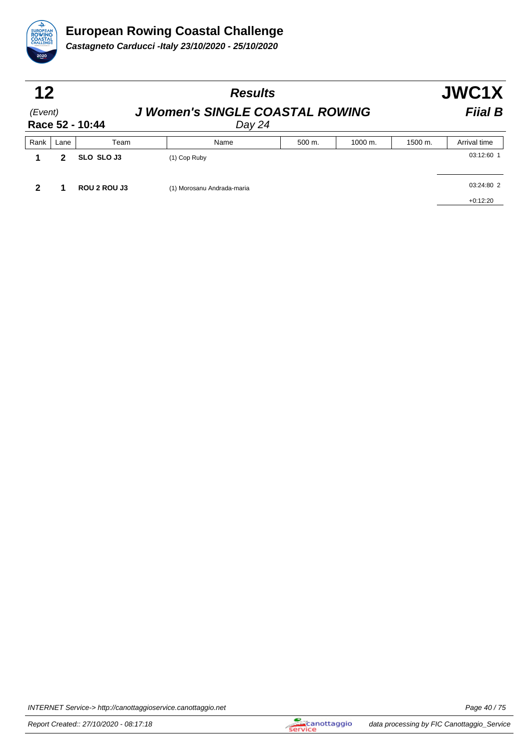

| 12      |      |                 |                                                  | JWC1X  |                      |         |              |  |
|---------|------|-----------------|--------------------------------------------------|--------|----------------------|---------|--------------|--|
| (Event) |      | Race 52 - 10:44 | <b>J Women's SINGLE COASTAL ROWING</b><br>Day 24 |        |                      |         |              |  |
| Rank    | Lane | Team            | Name                                             | 500 m. | $1000 \; \text{m}$ . | 1500 m. | Arrival time |  |
|         | 2    | SLO SLO J3      | $(1)$ Cop Ruby                                   |        |                      |         | 03:12:60 1   |  |
|         |      | ROU 2 ROU J3    | (1) Morosanu Andrada-maria                       |        |                      |         | 03:24:80 2   |  |
|         |      |                 |                                                  |        |                      |         | $+0:12:20$   |  |

INTERNET Service-> http://canottaggioservice.canottaggio.net **Page 40** / 75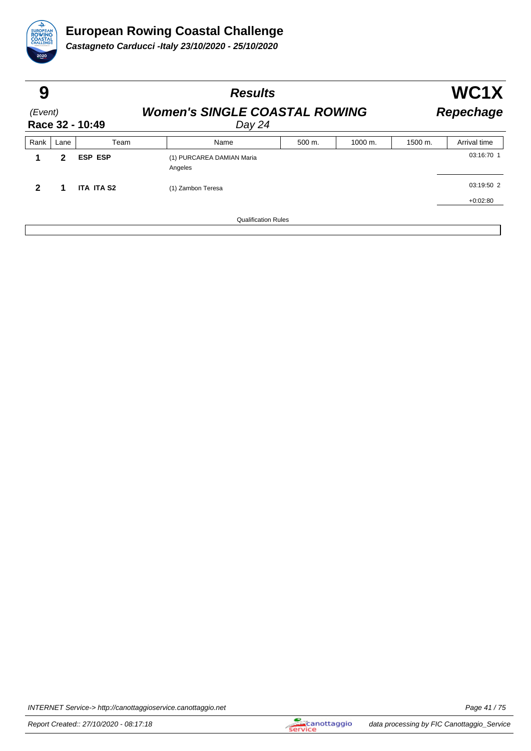

| 9                          |      |                   | <b>Results</b>                                 |                            |         |         | WC1X             |  |  |
|----------------------------|------|-------------------|------------------------------------------------|----------------------------|---------|---------|------------------|--|--|
| (Event)<br>Race 32 - 10:49 |      |                   | <b>Women's SINGLE COASTAL ROWING</b><br>Day 24 |                            |         |         | <b>Repechage</b> |  |  |
| Rank                       | Lane | Team              | Name                                           | 500 m.                     | 1000 m. | 1500 m. | Arrival time     |  |  |
|                            | 2    | <b>ESP ESP</b>    | (1) PURCAREA DAMIAN Maria<br>Angeles           |                            |         |         | 03:16:70 1       |  |  |
| $\mathbf{2}$               | 1    | <b>ITA ITA S2</b> | (1) Zambon Teresa                              |                            |         |         | 03:19:50 2       |  |  |
|                            |      |                   |                                                |                            |         |         | $+0:02:80$       |  |  |
|                            |      |                   |                                                | <b>Qualification Rules</b> |         |         |                  |  |  |

INTERNET Service-> http://canottaggioservice.canottaggio.net **Page 41/75**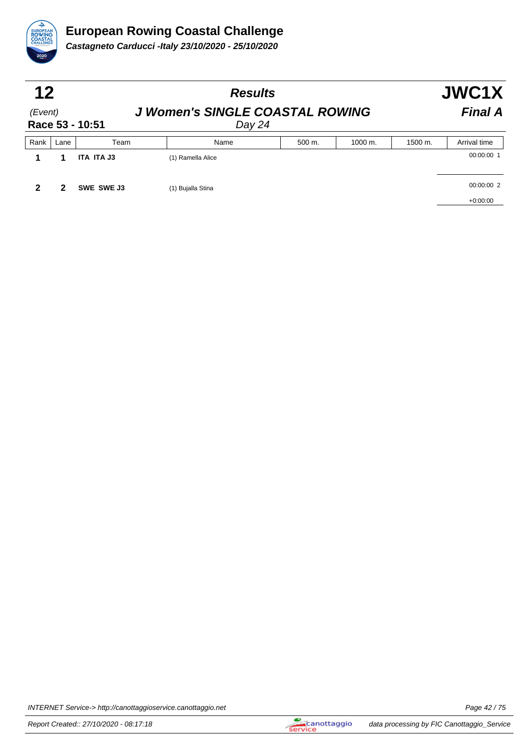

| 12                         |      |            | <b>Results</b>                                   |        |         |         | JWC1X                    |  |
|----------------------------|------|------------|--------------------------------------------------|--------|---------|---------|--------------------------|--|
| (Event)<br>Race 53 - 10:51 |      |            | <b>J Women's SINGLE COASTAL ROWING</b><br>Day 24 |        |         |         | <b>Final A</b>           |  |
| Rank                       | Lane | Team       | Name                                             | 500 m. | 1000 m. | 1500 m. | Arrival time             |  |
|                            |      | ITA ITA J3 | (1) Ramella Alice                                |        |         |         | 00:00:00 1               |  |
|                            | 2    | SWE SWE J3 | (1) Bujalla Stina                                |        |         |         | 00:00:00 2<br>$+0:00:00$ |  |

INTERNET Service-> http://canottaggioservice.canottaggio.net **Page 42 / 75** Page 42 / 75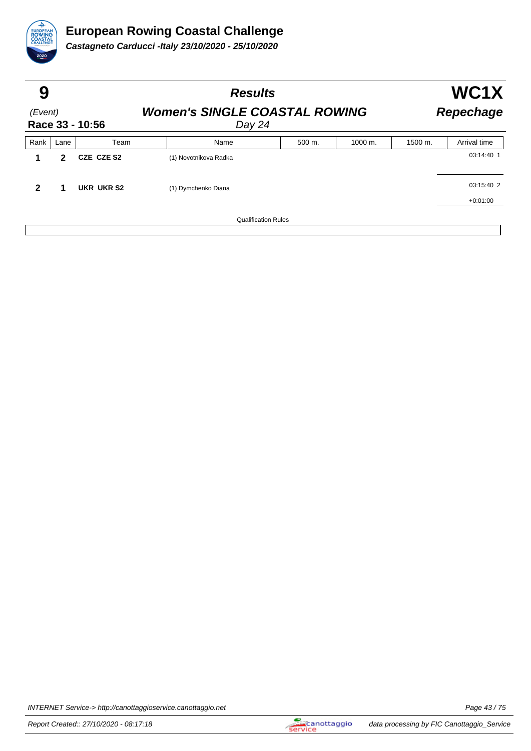

| 9                          |      |            | <b>Results</b>                                 | WC1X             |         |         |              |
|----------------------------|------|------------|------------------------------------------------|------------------|---------|---------|--------------|
| (Event)<br>Race 33 - 10:56 |      |            | <b>Women's SINGLE COASTAL ROWING</b><br>Day 24 | <b>Repechage</b> |         |         |              |
| Rank                       | Lane | Team       | Name                                           | 500 m.           | 1000 m. | 1500 m. | Arrival time |
| 1                          | 2    | CZE CZE S2 | (1) Novotnikova Radka                          |                  |         |         | 03:14:40 1   |
| $\mathbf{2}$               | 1    | UKR UKR S2 | (1) Dymchenko Diana                            |                  |         |         | 03:15:40 2   |
|                            |      |            |                                                |                  |         |         | $+0:01:00$   |
|                            |      |            | <b>Qualification Rules</b>                     |                  |         |         |              |

INTERNET Service-> http://canottaggioservice.canottaggio.net **Page 43/75**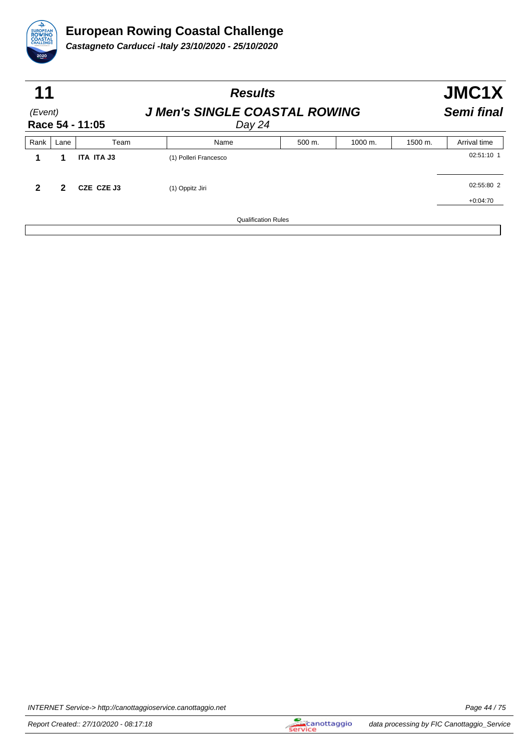

| 11                         |              |            | <b>Results</b>                                 |        | JMC1X      |         |              |
|----------------------------|--------------|------------|------------------------------------------------|--------|------------|---------|--------------|
| (Event)<br>Race 54 - 11:05 |              |            | <b>J Men's SINGLE COASTAL ROWING</b><br>Day 24 |        | Semi final |         |              |
| Rank                       | Lane         | Team       | Name                                           | 500 m. | 1000 m.    | 1500 m. | Arrival time |
|                            | 1            | ITA ITA J3 | (1) Polleri Francesco                          |        |            |         | 02:51:10 1   |
| 2                          | $\mathbf{2}$ | CZE CZE J3 | (1) Oppitz Jiri                                |        |            |         | 02:55:80 2   |
|                            |              |            |                                                |        |            |         | $+0:04:70$   |
|                            |              |            | <b>Qualification Rules</b>                     |        |            |         |              |

INTERNET Service-> http://canottaggioservice.canottaggio.net **Page 44/75**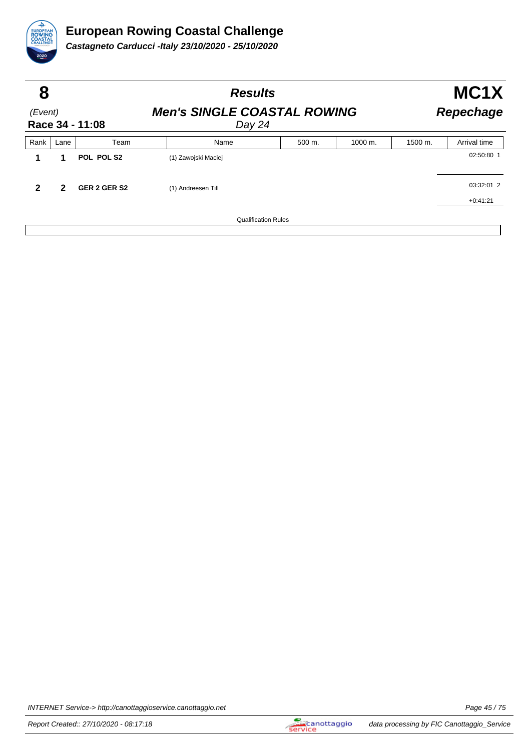

| 8                          |      |              | <b>Results</b>                               |        | MC1X                 |         |              |
|----------------------------|------|--------------|----------------------------------------------|--------|----------------------|---------|--------------|
| (Event)<br>Race 34 - 11:08 |      |              | <b>Men's SINGLE COASTAL ROWING</b><br>Day 24 |        | <b>Repechage</b>     |         |              |
| Rank                       | Lane | Team         | Name                                         | 500 m. | $1000 \; \text{m}$ . | 1500 m. | Arrival time |
|                            | 1    | POL POL S2   | (1) Zawojski Maciej                          |        |                      |         | 02:50:80 1   |
| $\mathbf{2}$               | 2    | GER 2 GER S2 | (1) Andreesen Till                           |        |                      |         | 03:32:01 2   |
|                            |      |              |                                              |        |                      |         | $+0:41:21$   |
|                            |      |              | <b>Qualification Rules</b>                   |        |                      |         |              |

INTERNET Service-> http://canottaggioservice.canottaggio.net **Page 45** / 75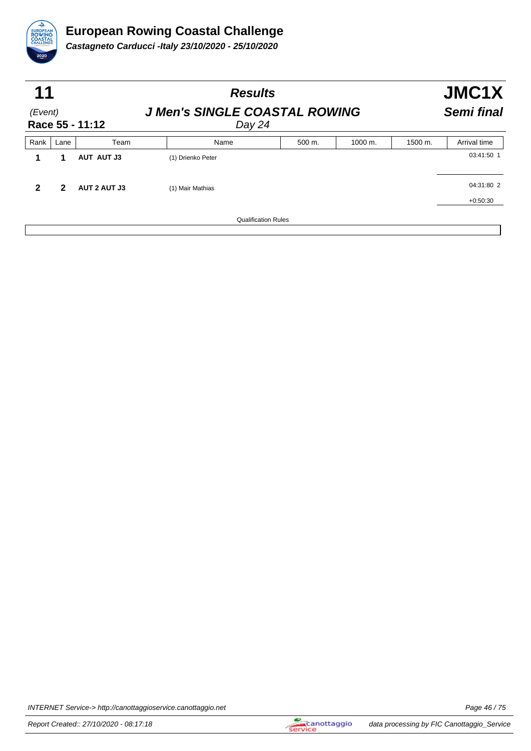

| 11<br>(Event)<br>Race 55 - 11:12 |   |                     | <b>Results</b><br><b>J Men's SINGLE COASTAL ROWING</b><br>Day 24 |                            |  |  |  | JMC1X<br><b>Semi final</b> |  |
|----------------------------------|---|---------------------|------------------------------------------------------------------|----------------------------|--|--|--|----------------------------|--|
|                                  |   |                     |                                                                  |                            |  |  |  |                            |  |
|                                  | 1 | AUT AUT J3          | (1) Drienko Peter                                                |                            |  |  |  | 03:41:50 1                 |  |
| 2                                | 2 | <b>AUT 2 AUT J3</b> | (1) Mair Mathias                                                 |                            |  |  |  | 04:31:80 2                 |  |
|                                  |   |                     |                                                                  |                            |  |  |  | $+0:50:30$                 |  |
|                                  |   |                     |                                                                  | <b>Qualification Rules</b> |  |  |  |                            |  |

INTERNET Service-> http://canottaggioservice.canottaggio.net **Page 46** / 75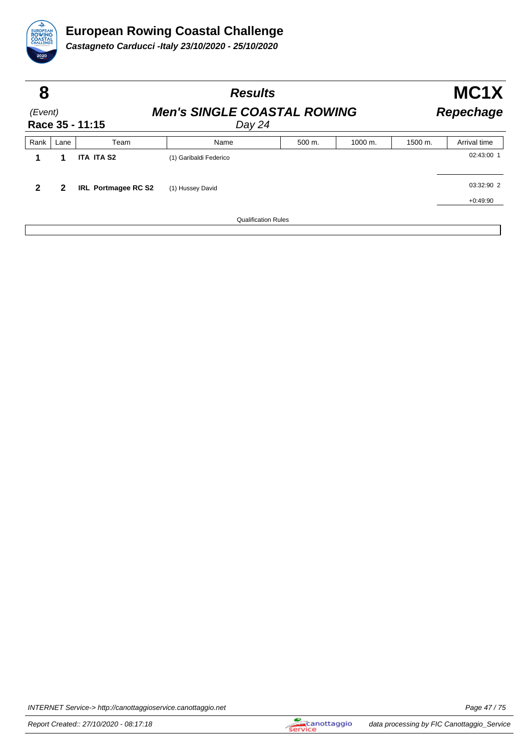

| 8            |      |                     | <b>Results</b>                                                   |                            |         |         |              |  |
|--------------|------|---------------------|------------------------------------------------------------------|----------------------------|---------|---------|--------------|--|
| (Event)      |      | Race 35 - 11:15     | <b>Men's SINGLE COASTAL ROWING</b><br><b>Repechage</b><br>Day 24 |                            |         |         |              |  |
| Rank         | Lane | Team                | Name                                                             | 500 m.                     | 1000 m. | 1500 m. | Arrival time |  |
|              | 1    | <b>ITA ITA S2</b>   | (1) Garibaldi Federico                                           |                            |         |         | 02:43:00 1   |  |
| $\mathbf{2}$ | 2    | IRL Portmagee RC S2 | (1) Hussey David                                                 |                            |         |         | 03:32:90 2   |  |
|              |      |                     |                                                                  |                            |         |         | $+0:49:90$   |  |
|              |      |                     |                                                                  | <b>Qualification Rules</b> |         |         |              |  |

INTERNET Service-> http://canottaggioservice.canottaggio.net **Page 47/75**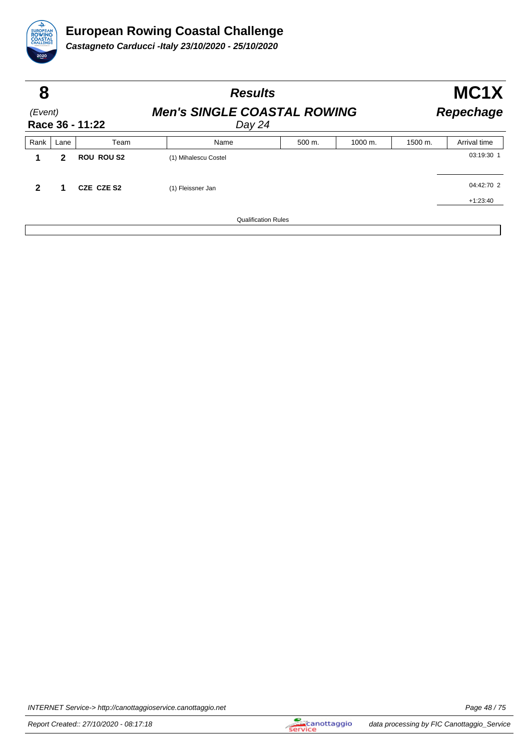

| 8                          |      |                   | <b>Results</b>                               |                  | MC1X                 |                    |              |
|----------------------------|------|-------------------|----------------------------------------------|------------------|----------------------|--------------------|--------------|
| (Event)<br>Race 36 - 11:22 |      |                   | <b>Men's SINGLE COASTAL ROWING</b><br>Day 24 | <b>Repechage</b> |                      |                    |              |
| Rank                       | Lane | Team              | Name                                         | 500 m.           | $1000 \; \text{m}$ . | $1500 \text{ m}$ . | Arrival time |
|                            | 2    | <b>ROU ROU S2</b> | (1) Mihalescu Costel                         |                  |                      |                    | 03:19:30 1   |
| $\mathbf{2}$               | 1    | CZE CZE S2        | (1) Fleissner Jan                            |                  |                      |                    | 04:42:70 2   |
|                            |      |                   |                                              |                  |                      |                    | $+1:23:40$   |
|                            |      |                   | <b>Qualification Rules</b>                   |                  |                      |                    |              |

INTERNET Service-> http://canottaggioservice.canottaggio.net **Page 48/75**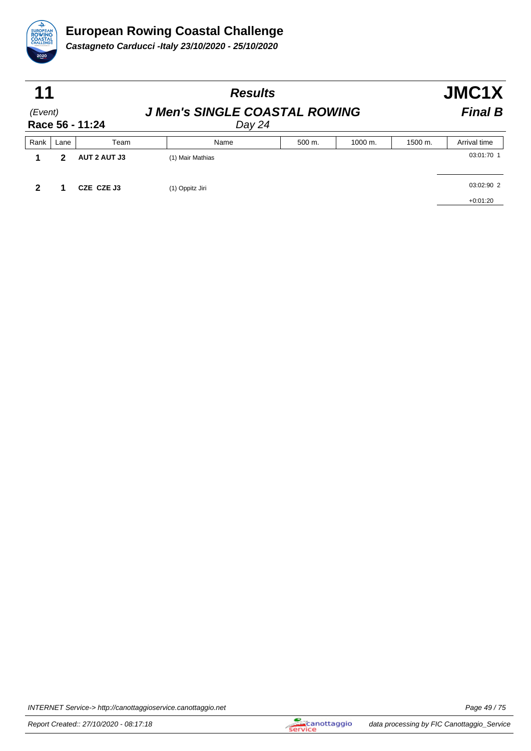

| 11                         |      |              | <b>Results</b>                                 |                | JMC1X   |         |              |
|----------------------------|------|--------------|------------------------------------------------|----------------|---------|---------|--------------|
| (Event)<br>Race 56 - 11:24 |      |              | <b>J Men's SINGLE COASTAL ROWING</b><br>Day 24 | <b>Final B</b> |         |         |              |
| Rank                       | Lane | Team         | Name                                           | 500 m.         | 1000 m. | 1500 m. | Arrival time |
|                            | 2    | AUT 2 AUT J3 | (1) Mair Mathias                               |                |         |         | 03:01:70 1   |
|                            |      | CZE CZE J3   | (1) Oppitz Jiri                                |                |         |         | 03:02:90 2   |
|                            |      |              |                                                |                |         |         | $+0:01:20$   |

INTERNET Service-> http://canottaggioservice.canottaggio.net **Page 49/75**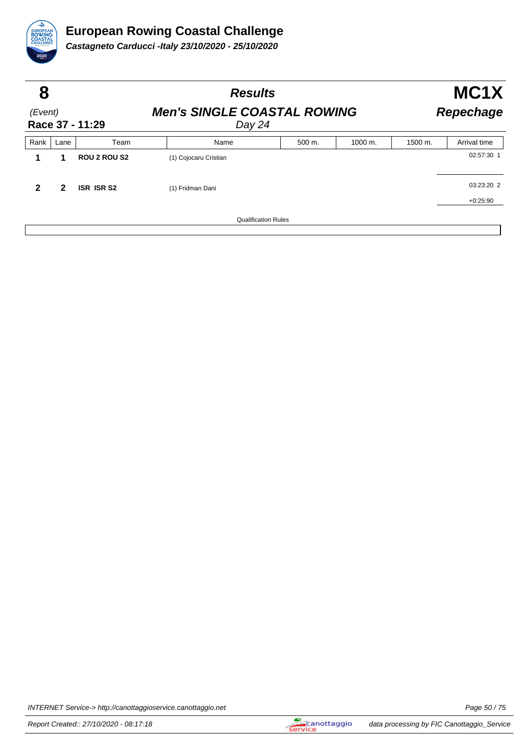

| 8                          |      |                     | <b>Results</b>                               | MC1X   |                  |         |              |
|----------------------------|------|---------------------|----------------------------------------------|--------|------------------|---------|--------------|
| (Event)<br>Race 37 - 11:29 |      |                     | <b>Men's SINGLE COASTAL ROWING</b><br>Day 24 |        | <b>Repechage</b> |         |              |
| Rank                       | Lane | Team                | Name                                         | 500 m. | 1000 m.          | 1500 m. | Arrival time |
|                            | 1    | <b>ROU 2 ROU S2</b> | (1) Cojocaru Cristian                        |        |                  |         | 02:57:30 1   |
| $\mathbf{2}$               | 2    | <b>ISR ISR S2</b>   | (1) Fridman Dani                             |        |                  |         | 03:23:20 2   |
|                            |      |                     |                                              |        |                  |         | $+0:25:90$   |
|                            |      |                     | <b>Qualification Rules</b>                   |        |                  |         |              |

INTERNET Service-> http://canottaggioservice.canottaggio.net **Page 50** / 75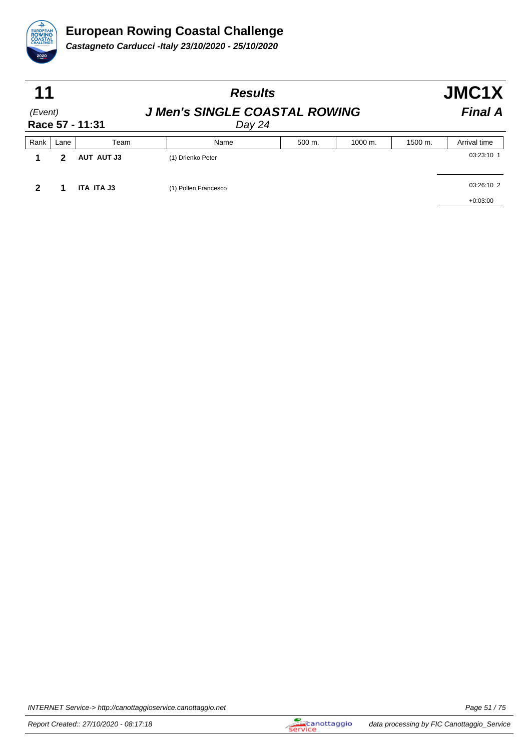

| 11                         |      |            | <b>Results</b>        |                                                | JMC1X   |         |              |  |  |
|----------------------------|------|------------|-----------------------|------------------------------------------------|---------|---------|--------------|--|--|
| (Event)<br>Race 57 - 11:31 |      |            |                       | <b>J Men's SINGLE COASTAL ROWING</b><br>Day 24 |         |         |              |  |  |
| Rank                       | Lane | Team       | Name                  | 500 m.                                         | 1000 m. | 1500 m. | Arrival time |  |  |
|                            | 2    | AUT AUT J3 | (1) Drienko Peter     |                                                |         |         | 03:23:10 1   |  |  |
|                            |      | ITA ITA J3 | (1) Polleri Francesco |                                                |         |         | 03:26:10 2   |  |  |
|                            |      |            |                       |                                                |         |         | $+0:03:00$   |  |  |

INTERNET Service-> http://canottaggioservice.canottaggio.net **Page 51/75**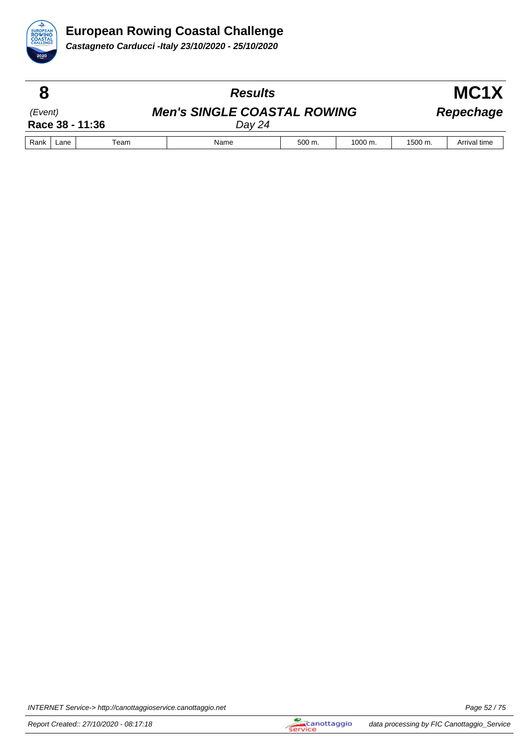

|                            |      |                                              | <b>Results</b> |        | MC <sub>1</sub> X  |         |              |
|----------------------------|------|----------------------------------------------|----------------|--------|--------------------|---------|--------------|
| (Event)<br>Race 38 - 11:36 |      | <b>Men's SINGLE COASTAL ROWING</b><br>Day 24 |                |        |                    |         | Repechage    |
| Rank                       | Lane | Team                                         | Name           | 500 m. | $1000 \text{ m}$ . | 1500 m. | Arrival time |

INTERNET Service-> http://canottaggioservice.canottaggio.net **Page 52** / 75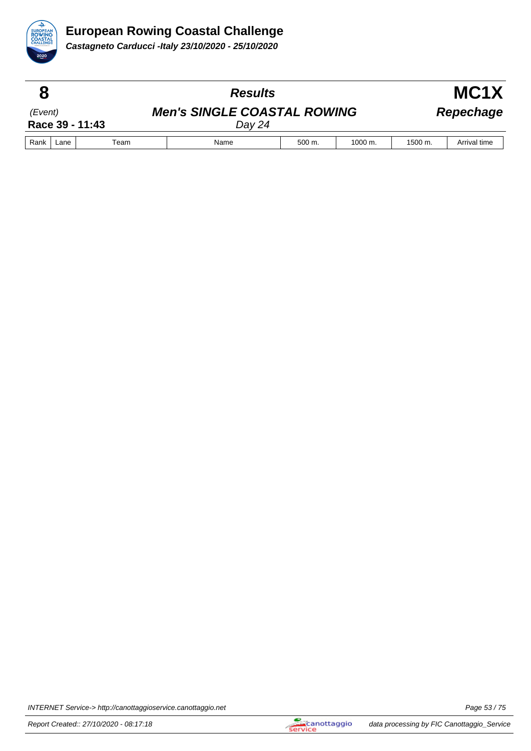

|                            |      |      | <b>Results</b>                               |        |         |         | MC <sub>1</sub> X |
|----------------------------|------|------|----------------------------------------------|--------|---------|---------|-------------------|
| (Event)<br>Race 39 - 11:43 |      |      | <b>Men's SINGLE COASTAL ROWING</b><br>Day 24 |        |         |         | Repechage         |
| Rank                       | Lane | Team | Name                                         | 500 m. | 1000 m. | 1500 m. | Arrival time      |

INTERNET Service-> http://canottaggioservice.canottaggio.net **Page 53/75**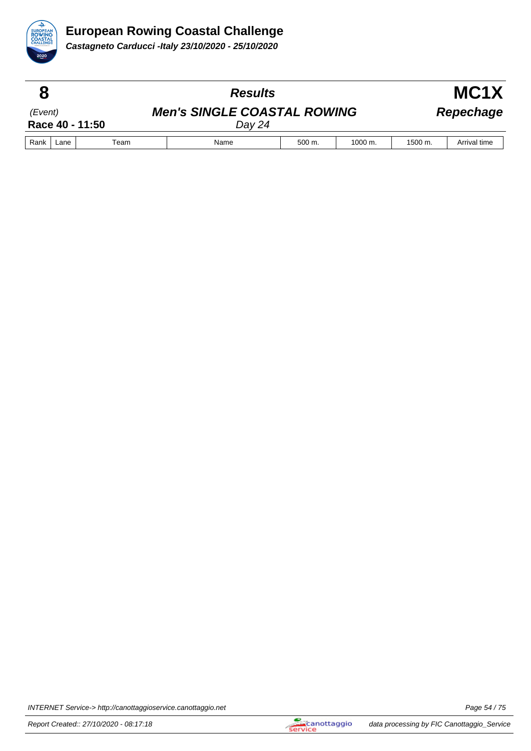

|                            |      |      | <b>Results</b>                               |        |                      |           | MC <sub>1</sub> X |  |  |
|----------------------------|------|------|----------------------------------------------|--------|----------------------|-----------|-------------------|--|--|
| (Event)<br>Race 40 - 11:50 |      |      | <b>Men's SINGLE COASTAL ROWING</b><br>Dav 24 |        |                      | Repechage |                   |  |  |
| Rank                       | Lane | Team | Name                                         | 500 m. | $1000 \; \text{m}$ . | 1500 m.   | Arrival time      |  |  |

INTERNET Service-> http://canottaggioservice.canottaggio.net **Page 54/75**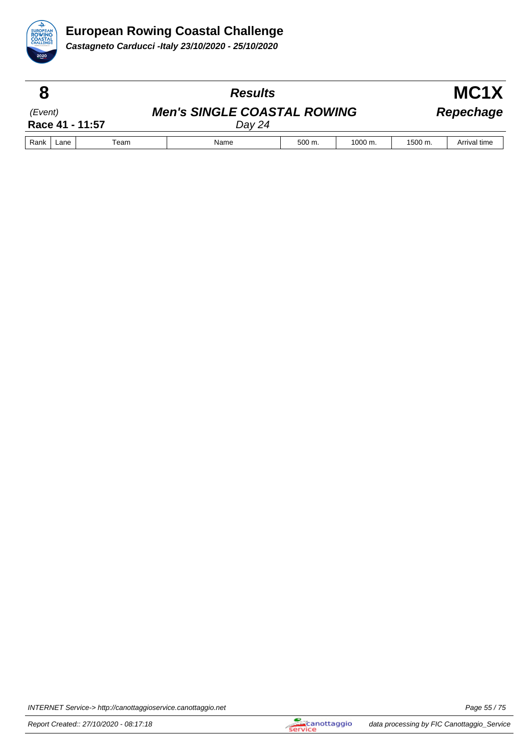

|                            |      |      | <b>Results</b>                               |        |                      |           | MC <sub>1</sub> X |
|----------------------------|------|------|----------------------------------------------|--------|----------------------|-----------|-------------------|
| (Event)<br>Race 41 - 11:57 |      |      | <b>Men's SINGLE COASTAL ROWING</b><br>Dav 24 |        |                      | Repechage |                   |
| Rank                       | Lane | Team | Name                                         | 500 m. | $1000 \; \text{m}$ . | 1500 m.   | Arrival time      |

INTERNET Service-> http://canottaggioservice.canottaggio.net **Page 55** / 75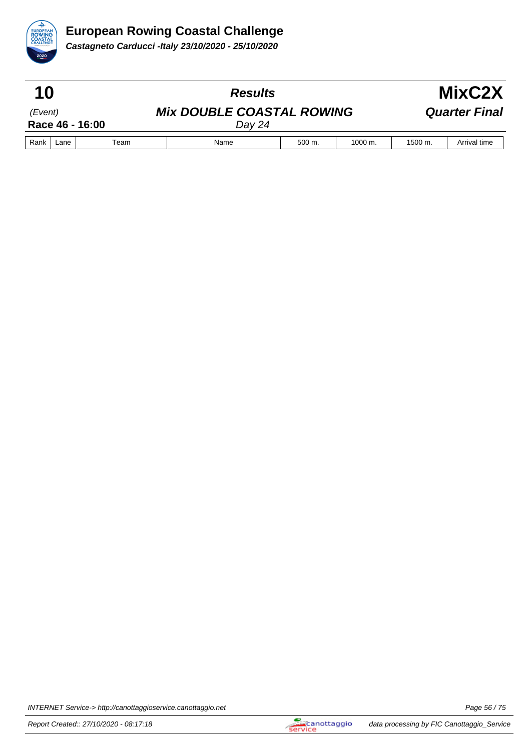

| 10                         |      |      | <b>Results</b>                             |             |                    | MixC2X  |                      |  |
|----------------------------|------|------|--------------------------------------------|-------------|--------------------|---------|----------------------|--|
| (Event)<br>Race 46 - 16:00 |      |      | <b>Mix DOUBLE COASTAL ROWING</b><br>Day 24 |             |                    |         | <b>Quarter Final</b> |  |
| Rank                       | Lane | Team | Name                                       | $500 \; m.$ | $1000 \text{ m}$ . | 1500 m. | Arrival time         |  |

INTERNET Service-> http://canottaggioservice.canottaggio.net **Page 56** / 75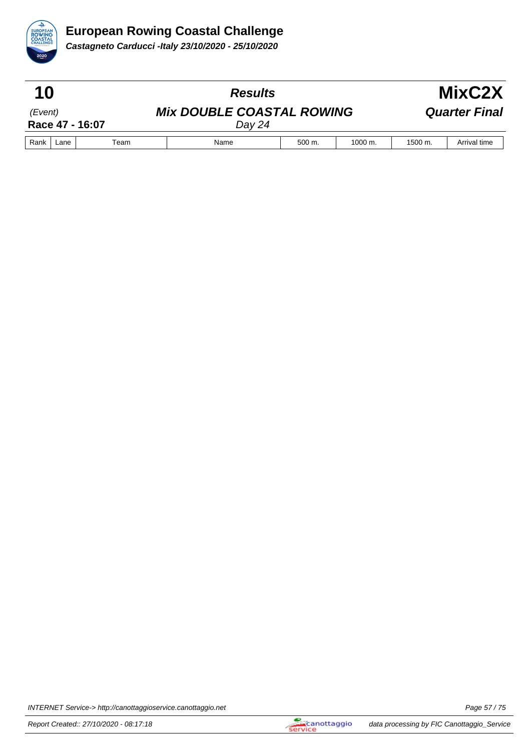

| 10                         |      |      | <b>Results</b>                             |             |                    | MixC2X  |                      |  |
|----------------------------|------|------|--------------------------------------------|-------------|--------------------|---------|----------------------|--|
| (Event)<br>Race 47 - 16:07 |      |      | <b>Mix DOUBLE COASTAL ROWING</b><br>Dav 24 |             |                    |         | <b>Quarter Final</b> |  |
| Rank                       | Lane | Team | Name                                       | $500 \; m.$ | $1000 \text{ m}$ . | 1500 m. | Arrival time         |  |

INTERNET Service-> http://canottaggioservice.canottaggio.net **Page 57/75**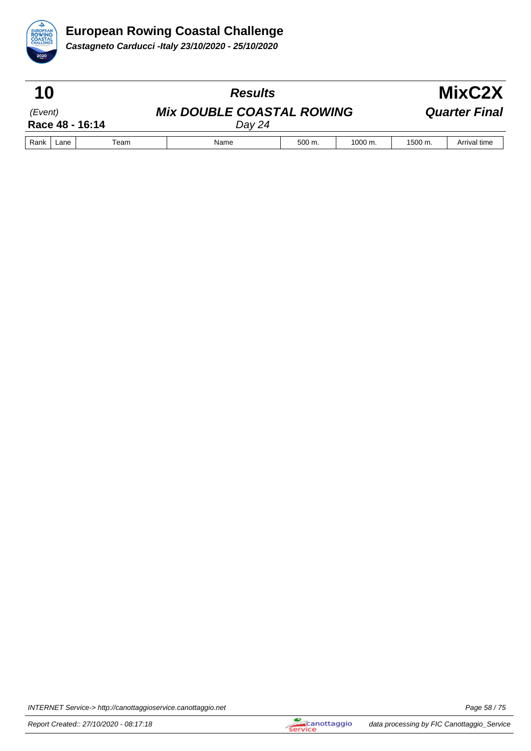

| 10                         |      |      | <b>Results</b>                             |             |                    | MixC2X  |                      |  |
|----------------------------|------|------|--------------------------------------------|-------------|--------------------|---------|----------------------|--|
| (Event)<br>Race 48 - 16:14 |      |      | <b>Mix DOUBLE COASTAL ROWING</b><br>Dav 24 |             |                    |         | <b>Quarter Final</b> |  |
| Rank                       | Lane | Team | Name                                       | $500 \; m.$ | $1000 \text{ m}$ . | 1500 m. | Arrival time         |  |

INTERNET Service-> http://canottaggioservice.canottaggio.net **Page 58** / 75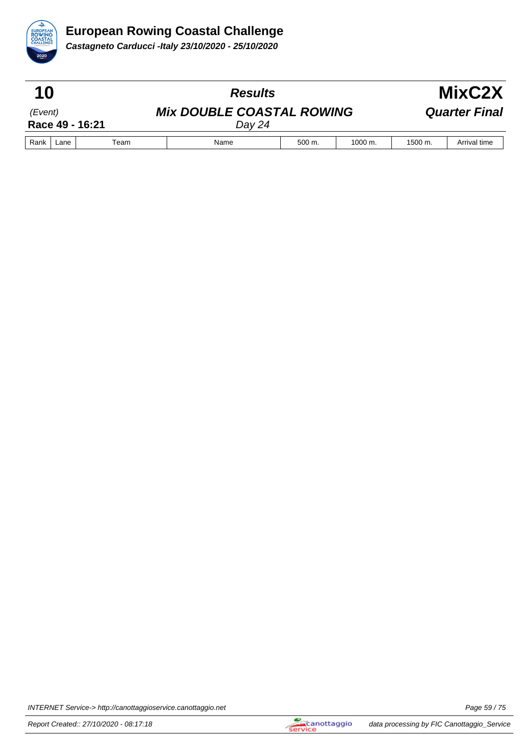

| 10                         |      |      | <b>Results</b>                             |             |                    | MixC2X  |                      |  |
|----------------------------|------|------|--------------------------------------------|-------------|--------------------|---------|----------------------|--|
| (Event)<br>Race 49 - 16:21 |      |      | <b>Mix DOUBLE COASTAL ROWING</b><br>Dav 24 |             |                    |         | <b>Quarter Final</b> |  |
| Rank                       | Lane | Team | Name                                       | $500 \; m.$ | $1000 \text{ m}$ . | 1500 m. | Arrival time         |  |

INTERNET Service-> http://canottaggioservice.canottaggio.net **Page 59/75**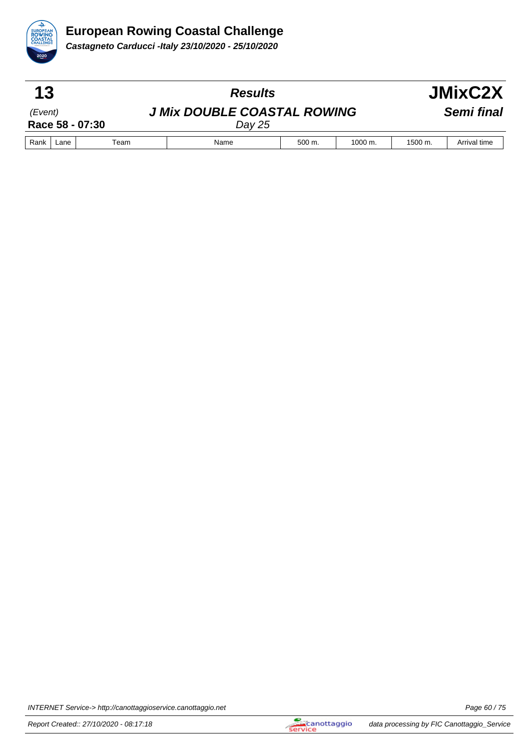

| 13                         |      |      | <b>Results</b>                               |             |                    |         | JMixC2X      |
|----------------------------|------|------|----------------------------------------------|-------------|--------------------|---------|--------------|
| (Event)<br>Race 58 - 07:30 |      |      | <b>J Mix DOUBLE COASTAL ROWING</b><br>Day 25 |             |                    |         | Semi final   |
| Rank                       | Lane | Team | Name                                         | $500 \; m.$ | $1000 \text{ m}$ . | 1500 m. | Arrival time |

INTERNET Service-> http://canottaggioservice.canottaggio.net **Page 60** / 75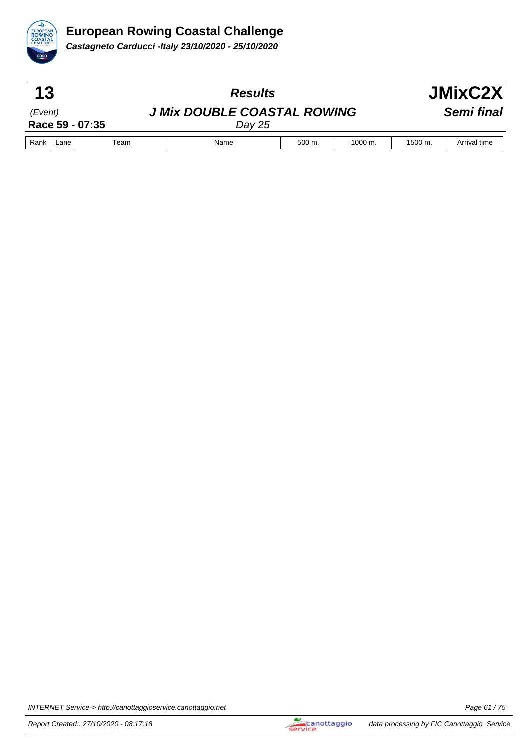

| 13                         |      |      | <b>Results</b>                               |             |                    |         | JMixC2X      |
|----------------------------|------|------|----------------------------------------------|-------------|--------------------|---------|--------------|
| (Event)<br>Race 59 - 07:35 |      |      | <b>J Mix DOUBLE COASTAL ROWING</b><br>Day 25 |             |                    |         | Semi final   |
| Rank                       | Lane | Team | Name                                         | $500 \; m.$ | $1000 \text{ m}$ . | 1500 m. | Arrival time |

INTERNET Service-> http://canottaggioservice.canottaggio.net **Page 61/75**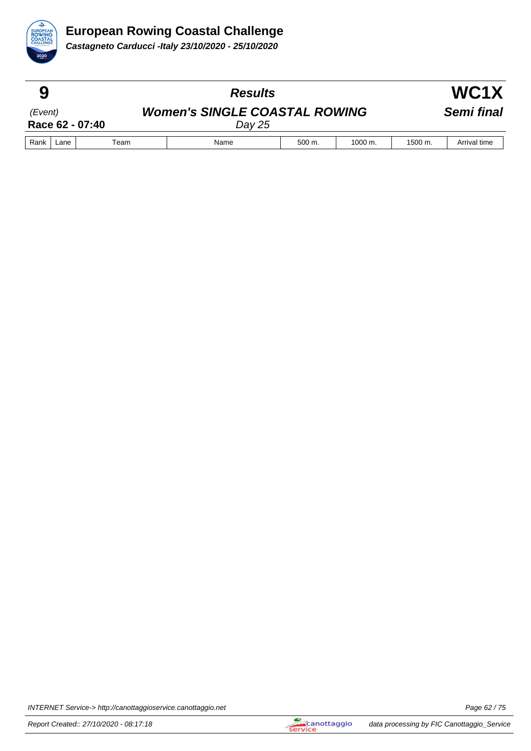

| 9       |      |                 | <b>Results</b>                                 |        |                      |         | WC1X         |  |
|---------|------|-----------------|------------------------------------------------|--------|----------------------|---------|--------------|--|
| (Event) |      | Race 62 - 07:40 | <b>Women's SINGLE COASTAL ROWING</b><br>Day 25 |        |                      |         | Semi final   |  |
| Rank    | Lane | Team            | Name                                           | 500 m. | $1000 \; \text{m}$ . | 1500 m. | Arrival time |  |

INTERNET Service-> http://canottaggioservice.canottaggio.net **Page 62 / 75** and Research Page 62 / 75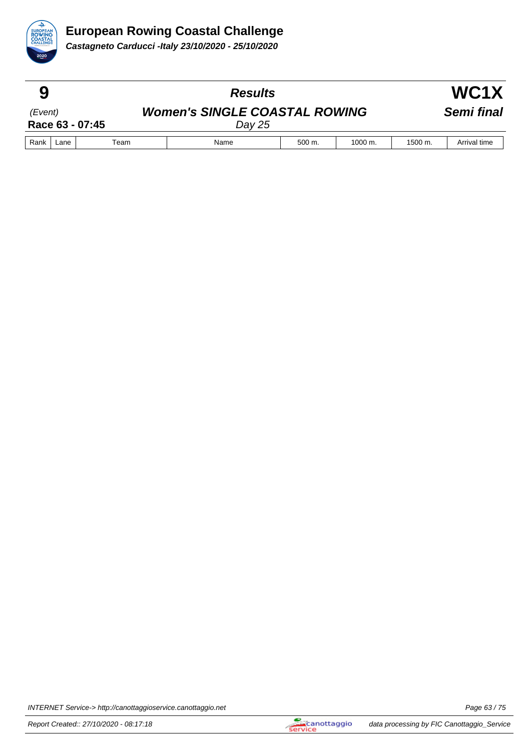

|         |      |                 | <b>Results</b>                                 |        |                      |         | WC1X         |
|---------|------|-----------------|------------------------------------------------|--------|----------------------|---------|--------------|
| (Event) |      | Race 63 - 07:45 | <b>Women's SINGLE COASTAL ROWING</b><br>Day 25 |        |                      |         | Semi final   |
| Rank    | Lane | Team            | Name                                           | 500 m. | $1000 \; \text{m}$ . | 1500 m. | Arrival time |

INTERNET Service-> http://canottaggioservice.canottaggio.net **Page 63/75**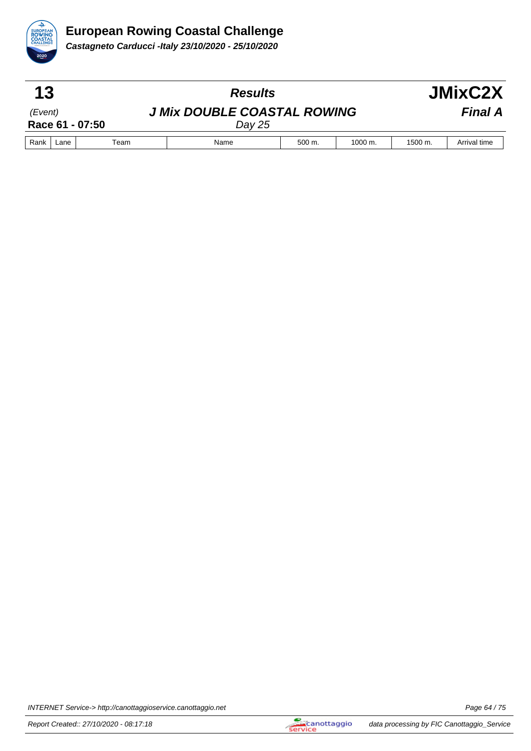

| 13      |      |                 | <b>Results</b>                               |        |              |         | JMixC2X        |
|---------|------|-----------------|----------------------------------------------|--------|--------------|---------|----------------|
| (Event) |      | Race 61 - 07:50 | <b>J Mix DOUBLE COASTAL ROWING</b><br>Day 25 |        |              |         | <b>Final A</b> |
| Rank    | Lane | Team            | Name                                         | 500 m. | $1000 \; m.$ | 1500 m. | Arrival time   |

INTERNET Service-> http://canottaggioservice.canottaggio.net **Page 64/75**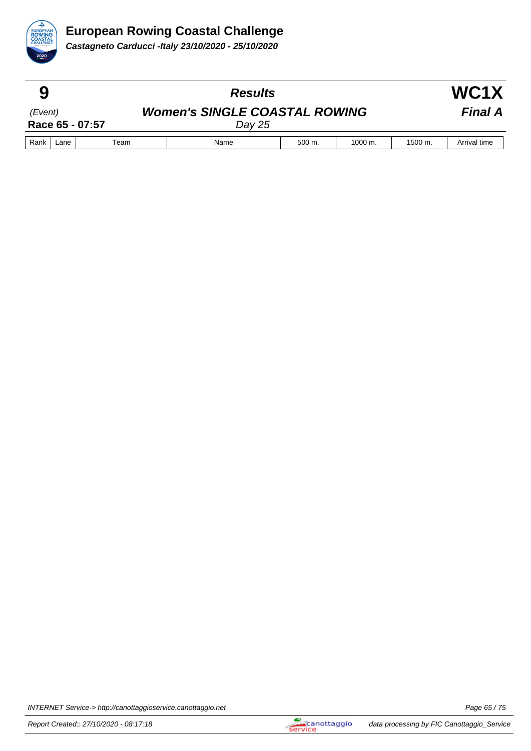

|         |      |                 | <b>Results</b>                                   |             |         |                    | WC1X           |
|---------|------|-----------------|--------------------------------------------------|-------------|---------|--------------------|----------------|
| (Event) |      | Race 65 - 07:57 | <b>Women's SINGLE COASTAL ROWING</b><br>Day $25$ |             |         |                    | <b>Final A</b> |
| Rank    | Lane | Team            | Name                                             | $500 \; m.$ | 1000 m. | $1500 \text{ m}$ . | Arrival time   |

INTERNET Service-> http://canottaggioservice.canottaggio.net **Page 65/75**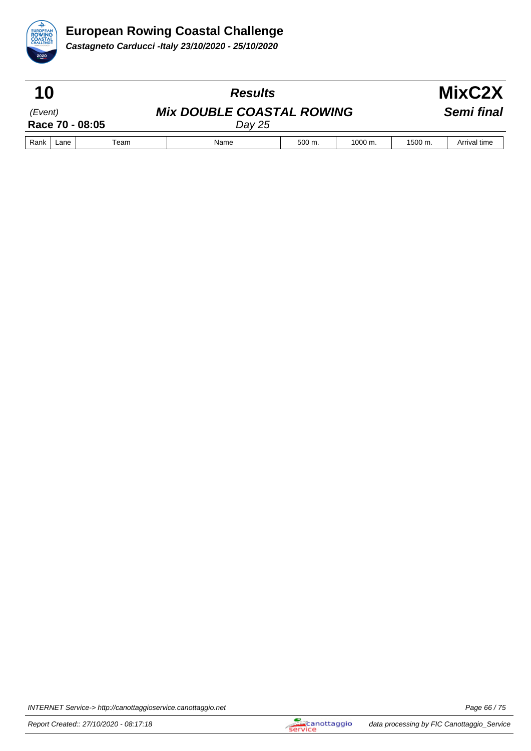

| 10                         |      |      | <b>Results</b>                             |             |                    | MixC2X     |              |  |
|----------------------------|------|------|--------------------------------------------|-------------|--------------------|------------|--------------|--|
| (Event)<br>Race 70 - 08:05 |      |      | <b>Mix DOUBLE COASTAL ROWING</b><br>Day 25 |             |                    | Semi final |              |  |
| Rank                       | Lane | Team | Name                                       | $500 \; m.$ | $1000 \text{ m}$ . | 1500 m.    | Arrival time |  |

INTERNET Service-> http://canottaggioservice.canottaggio.net **Page 66** / 75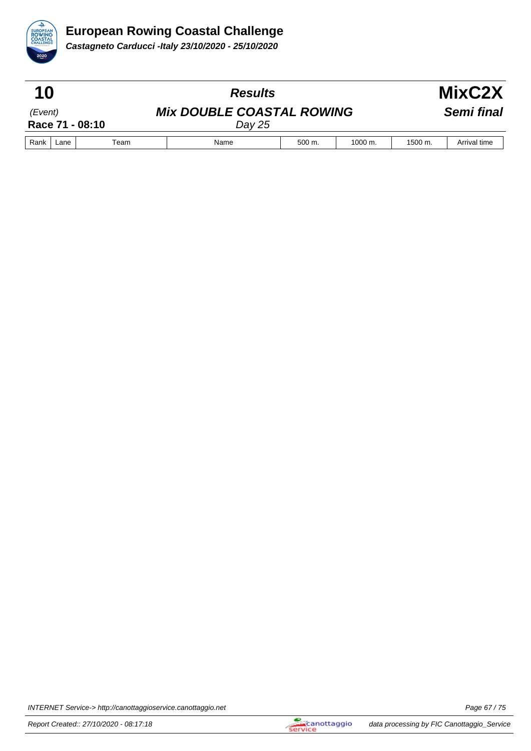

| 10                         |      |      | <b>Results</b>                             |             |                      |         | MixC2X       |
|----------------------------|------|------|--------------------------------------------|-------------|----------------------|---------|--------------|
| (Event)<br>Race 71 - 08:10 |      |      | <b>Mix DOUBLE COASTAL ROWING</b><br>Day 25 |             |                      |         | Semi final   |
| Rank                       | Lane | Team | Name                                       | $500 \; m.$ | $1000 \; \text{m}$ . | 1500 m. | Arrival time |

INTERNET Service-> http://canottaggioservice.canottaggio.net **Page 67/75**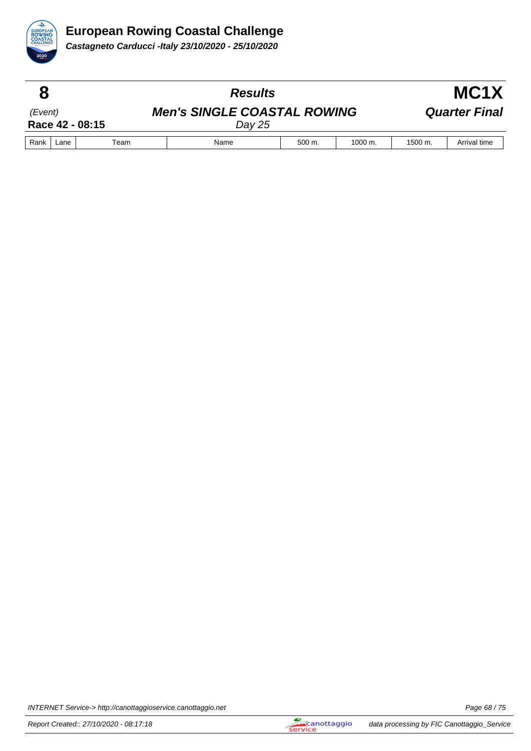

|                            |      |      | <b>Results</b>                               |        |              |                      | MC <sub>1</sub> X    |  |  |
|----------------------------|------|------|----------------------------------------------|--------|--------------|----------------------|----------------------|--|--|
| (Event)<br>Race 42 - 08:15 |      |      | <b>Men's SINGLE COASTAL ROWING</b><br>Day 25 |        |              |                      | <b>Quarter Final</b> |  |  |
| Rank                       | Lane | Team | Name                                         | 500 m. | $1000 \; m.$ | $1500 \; \text{m}$ . | Arrival time         |  |  |

INTERNET Service-> http://canottaggioservice.canottaggio.net **Page 68/75**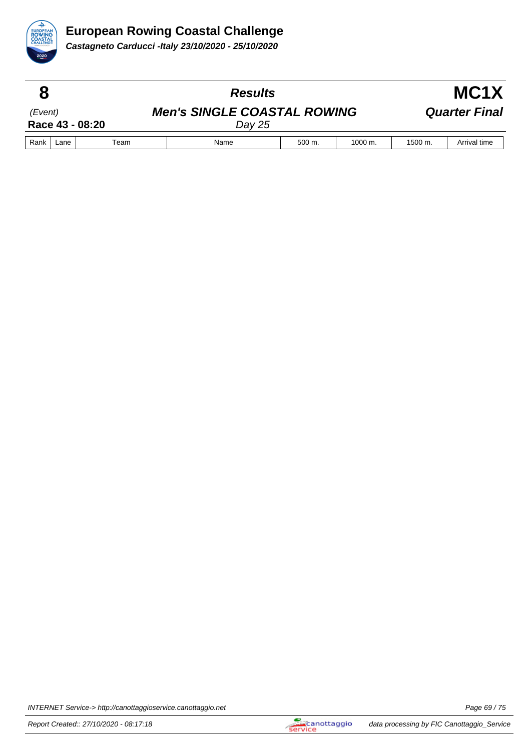

|                            |      |      | <b>Results</b>                                 |             |                      |                      | MC <sub>1</sub> X    |  |  |
|----------------------------|------|------|------------------------------------------------|-------------|----------------------|----------------------|----------------------|--|--|
| (Event)<br>Race 43 - 08:20 |      |      | <b>Men's SINGLE COASTAL ROWING</b><br>Day $25$ |             |                      |                      | <b>Quarter Final</b> |  |  |
| Rank                       | Lane | Team | Name                                           | $500 \; m.$ | $1000 \; \text{m}$ . | $1500 \; \text{m}$ . | Arrival time         |  |  |

INTERNET Service-> http://canottaggioservice.canottaggio.net **Page 69/75**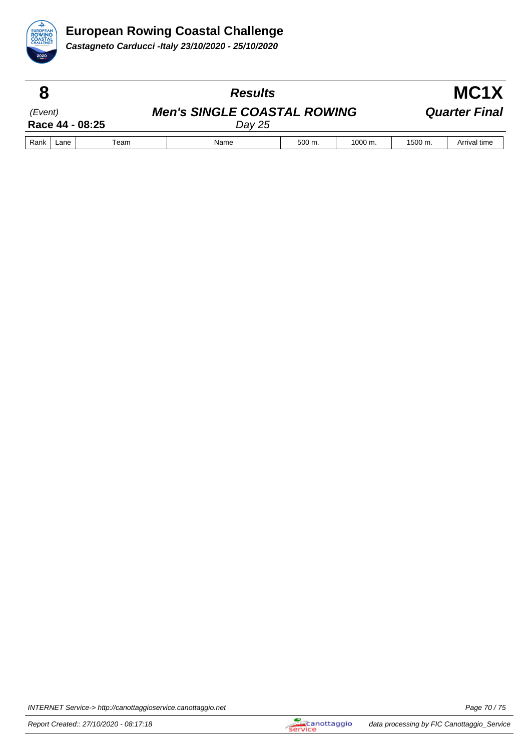

|                            |      |      | <b>Results</b>                                 |        | MC <sub>1</sub> X  |         |                      |
|----------------------------|------|------|------------------------------------------------|--------|--------------------|---------|----------------------|
| (Event)<br>Race 44 - 08:25 |      |      | <b>Men's SINGLE COASTAL ROWING</b><br>Day $25$ |        |                    |         | <b>Quarter Final</b> |
| Rank                       | Lane | Team | Name                                           | 500 m. | $1000 \text{ m}$ . | 1500 m. | Arrival time         |

INTERNET Service-> http://canottaggioservice.canottaggio.net **Page 70** / 75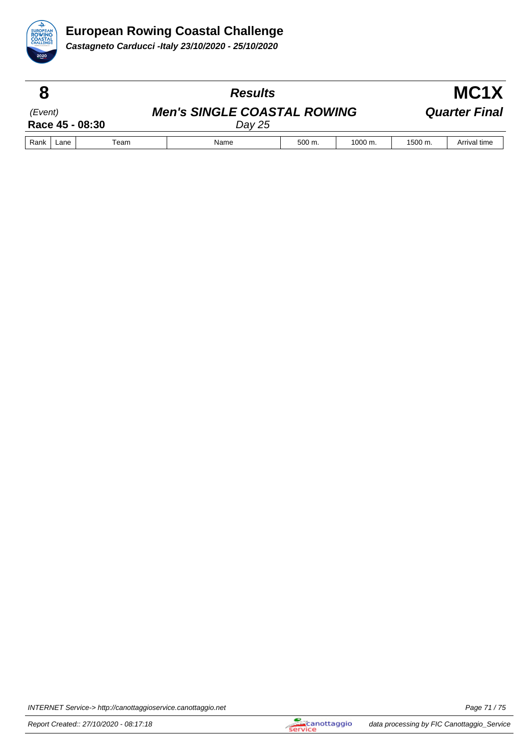

|                            |      |      | <b>Results</b>                                 |                     |                      | MC <sub>1</sub> X |                      |  |
|----------------------------|------|------|------------------------------------------------|---------------------|----------------------|-------------------|----------------------|--|
| (Event)<br>Race 45 - 08:30 |      |      | <b>Men's SINGLE COASTAL ROWING</b><br>Day $25$ |                     |                      |                   | <b>Quarter Final</b> |  |
| Rank                       | Lane | Team | Name                                           | $500 \; \text{m}$ . | $1000 \; \text{m}$ . | 1500 m.           | Arrival time         |  |

INTERNET Service-> http://canottaggioservice.canottaggio.net **Page 71/75**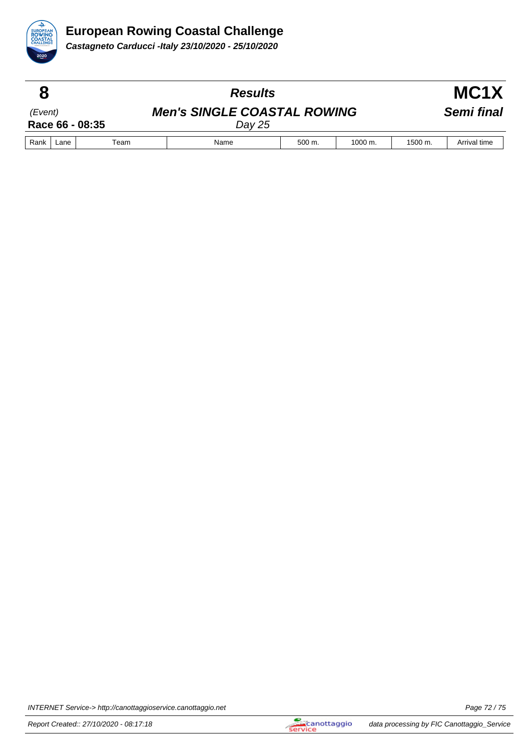

|         |      |                 | <b>Results</b>                               |        |                    |         | MC1X         |
|---------|------|-----------------|----------------------------------------------|--------|--------------------|---------|--------------|
| (Event) |      | Race 66 - 08:35 | <b>Men's SINGLE COASTAL ROWING</b><br>Day 25 |        |                    |         | Semi final   |
| Rank    | Lane | Team            | Name                                         | 500 m. | $1000 \text{ m}$ . | 1500 m. | Arrival time |

INTERNET Service-> http://canottaggioservice.canottaggio.net **Page 72** / 75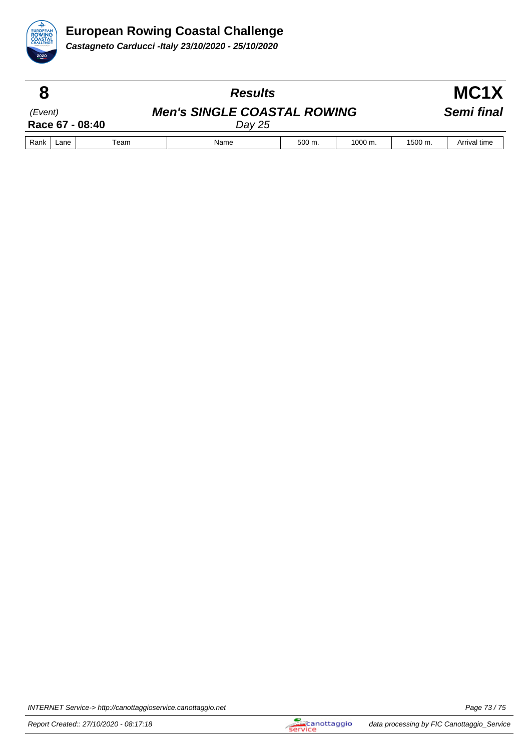

|         |      |                 | <b>Results</b>                               |        |                      |         | MC <sub>1</sub> X |  |  |
|---------|------|-----------------|----------------------------------------------|--------|----------------------|---------|-------------------|--|--|
| (Event) |      | Race 67 - 08:40 | <b>Men's SINGLE COASTAL ROWING</b><br>Dav 25 |        |                      |         | Semi final        |  |  |
| Rank    | Lane | Team            | Name                                         | 500 m. | $1000 \; \text{m}$ . | 1500 m. | Arrival time      |  |  |

INTERNET Service-> http://canottaggioservice.canottaggio.net **Page 73/75**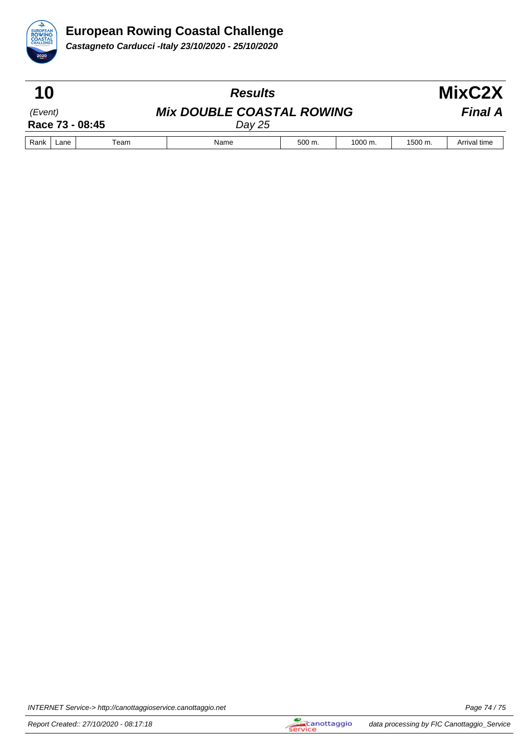

**Castagneto Carducci -Italy 23/10/2020 - 25/10/2020**

| 10                         |      |      | <b>Results</b>                             |        |                      |                | MixC2X       |  |
|----------------------------|------|------|--------------------------------------------|--------|----------------------|----------------|--------------|--|
| (Event)<br>Race 73 - 08:45 |      |      | <b>Mix DOUBLE COASTAL ROWING</b><br>Day 25 |        |                      | <b>Final A</b> |              |  |
| Rank                       | Lane | Team | Name                                       | 500 m. | $1000 \; \text{m}$ . | 1500 m.        | Arrival time |  |

INTERNET Service-> http://canottaggioservice.canottaggio.net **Page 74/75**